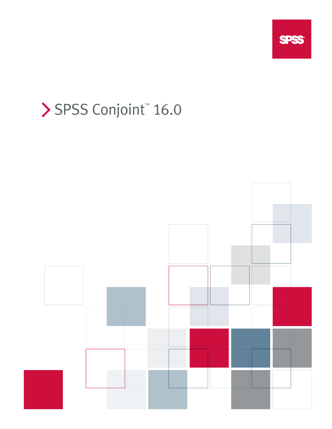

# SPSS Conjoint<sup>™</sup> 16.0

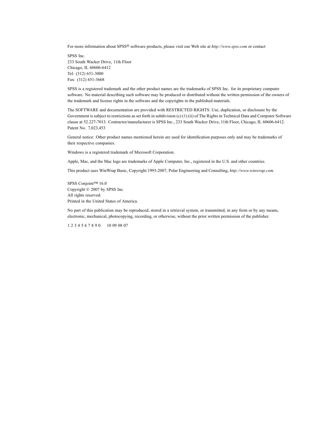For more information about SPSS® software products, please visit our Web site at *http://www.spss.com* or contact

SPSS Inc. 233 South Wacker Drive, 11th Floor Chicago, IL 60606-6412 Tel: (312) 651-3000 Fax: (312) 651-3668

SPSS is a registered trademark and the other product names are the trademarks of SPSS Inc. for its proprietary computer software. No material describing such software may be produced or distributed without the written permission of the owners of the trademark and license rights in the software and the copyrights in the published materials.

The SOFTWARE and documentation are provided with RESTRICTED RIGHTS. Use, duplication, or disclosure by the Government is subject to restrictions as set forth in subdivision (c) (1) (ii) of The Rights in Technical Data and Computer Software clause at 52.227-7013. Contractor/manufacturer is SPSS Inc., 233 South Wacker Drive, 11th Floor, Chicago, IL 60606-6412. Patent No. 7,023,453

General notice: Other product names mentioned herein are used for identification purposes only and may be trademarks of their respective companies.

Windows is a registered trademark of Microsoft Corporation.

Apple, Mac, and the Mac logo are trademarks of Apple Computer, Inc., registered in the U.S. and other countries.

This product uses WinWrap Basic, Copyright 1993-2007, Polar Engineering and Consulting, *http://www.winwrap.com*.

SPSS Conjoint™ 16.0 Copyright © 2007 by SPSS Inc. All rights reserved. Printed in the United States of America.

No part of this publication may be reproduced, stored in a retrieval system, or transmitted, in any form or by any means, electronic, mechanical, photocopying, recording, or otherwise, without the prior written permission of the publisher.

1 2 3 4 5 6 7 8 9 0 10 09 08 07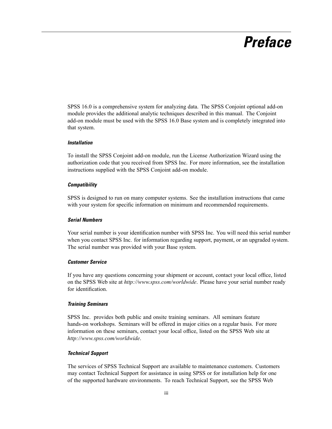## *Preface*

SPSS 16.0 is a comprehensive system for analyzing data. The SPSS Conjoint optional add-on module provides the additional analytic techniques described in this manual. The Conjoint add-on module must be used with the SPSS 16.0 Base system and is completely integrated into that system.

#### *Installation*

To install the SPSS Conjoint add-on module, run the License Authorization Wizard using the authorization code that you received from SPSS Inc. For more information, see the installation instructions supplied with the SPSS Conjoint add-on module.

#### *Compatibility*

SPSS is designed to run on many computer systems. See the installation instructions that came with your system for specific information on minimum and recommended requirements.

#### *Serial Numbers*

Your serial number is your identification number with SPSS Inc. You will need this serial number when you contact SPSS Inc. for information regarding support, payment, or an upgraded system. The serial number was provided with your Base system.

#### *Customer Service*

If you have any questions concerning your shipment or account, contact your local office, listed on the SPSS Web site at *http://www.spss.com/worldwide*. Please have your serial number ready for identification.

#### *Training Seminars*

SPSS Inc. provides both public and onsite training seminars. All seminars feature hands-on workshops. Seminars will be offered in major cities on a regular basis. For more information on these seminars, contact your local office, listed on the SPSS Web site at *http://www.spss.com/worldwide*.

#### *Technical Support*

The services of SPSS Technical Support are available to maintenance customers. Customers may contact Technical Support for assistance in using SPSS or for installation help for one of the supported hardware environments. To reach Technical Support, see the SPSS Web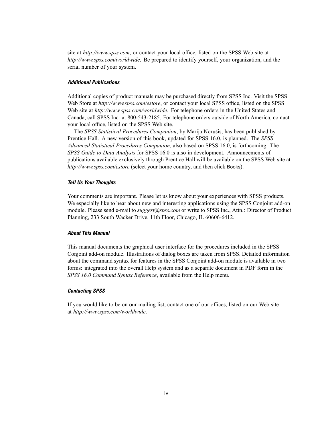site at *http://www.spss.com*, or contact your local office, listed on the SPSS Web site at *http://www.spss.com/worldwide*. Be prepared to identify yourself, your organization, and the serial number of your system.

#### *Additional Publications*

Additional copies of product manuals may be purchased directly from SPSS Inc. Visit the SPSS Web Store at *http://www.spss.com/estore*, or contact your local SPSS office, listed on the SPSS Web site at *http://www.spss.com/worldwide*. For telephone orders in the United States and Canada, call SPSS Inc. at 800-543-2185. For telephone orders outside of North America, contact your local office, listed on the SPSS Web site.

The *SPSS Statistical Procedures Companion*, by Marija Norušis, has been published by Prentice Hall. A new version of this book, updated for SPSS 16.0, is planned. The *SPSS Advanced Statistical Procedures Companion*, also based on SPSS 16.0, is forthcoming. The *SPSS Guide to Data Analysis* for SPSS 16.0 is also in development. Announcements of publications available exclusively through Prentice Hall will be available on the SPSS Web site at *http://www.spss.com/estore* (select your home country, and then click Books).

#### *Tell Us Your Thoughts*

Your comments are important. Please let us know about your experiences with SPSS products. We especially like to hear about new and interesting applications using the SPSS Conjoint add-on module. Please send e-mail to *suggest@spss.com* or write to SPSS Inc., Attn.: Director of Product Planning, 233 South Wacker Drive, 11th Floor, Chicago, IL 60606-6412.

#### *About This Manual*

This manual documents the graphical user interface for the procedures included in the SPSS Conjoint add-on module. Illustrations of dialog boxes are taken from SPSS. Detailed information about the command syntax for features in the SPSS Conjoint add-on module is available in two forms: integrated into the overall Help system and as a separate document in PDF form in the *SPSS 16.0 Command Syntax Reference*, available from the Help menu.

#### *Contacting SPSS*

If you would like to be on our mailing list, contact one of our offices, listed on our Web site at *http://www.spss.com/worldwide*.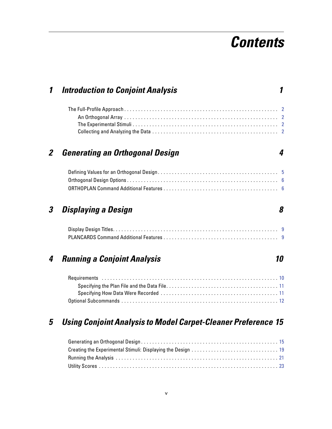## *Contents*

| 1 | <b>Introduction to Conjoint Analysis</b><br>1                        |
|---|----------------------------------------------------------------------|
|   |                                                                      |
| 2 | <b>Generating an Orthogonal Design</b><br>4                          |
|   |                                                                      |
| 3 | Displaying a Design<br>8                                             |
|   |                                                                      |
| 4 | <b>Running a Conjoint Analysis</b><br>10                             |
|   |                                                                      |
| 5 | <b>Using Conjoint Analysis to Model Carpet-Cleaner Preference 15</b> |
|   |                                                                      |

Utility Scores . . . . . . . . . . . . . . . . . . . . . . . . . . . . . . . . . . . . . . . . . . . . . . . . . . . . . . . . . . . . . . . . [23](#page-28-0)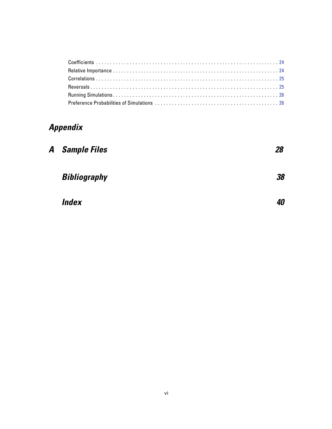## *Appendix*

| $\boldsymbol{A}$ | <b>Sample Files</b> | 28 |
|------------------|---------------------|----|
|                  | <b>Bibliography</b> | 38 |
|                  | <i><b>Index</b></i> | 40 |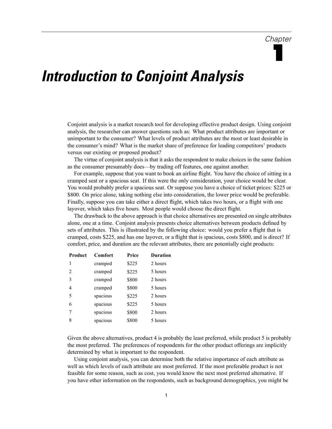## <span id="page-6-0"></span>*Introduction to Conjoint Analysis*

Conjoint analysis is a market research tool for developing effective product design. Using conjoint analysis, the researcher can answer questions such as: What product attributes are important or unimportant to the consumer? What levels of product attributes are the most or least desirable in the consumer's mind? What is the market share of preference for leading competitors' products versus our existing or proposed product?

The virtue of conjoint analysis is that it asks the respondent to make choices in the same fashion as the consumer presumably does—by trading off features, one against another.

For example, suppose that you want to book an airline flight. You have the choice of sitting in a cramped seat or a spacious seat. If this were the only consideration, your choice would be clear. You would probably prefer a spacious seat. Or suppose you have a choice of ticket prices: \$225 or \$800. On price alone, taking nothing else into consideration, the lower price would be preferable. Finally, suppose you can take either a direct flight, which takes two hours, or a flight with one layover, which takes five hours. Most people would choose the direct flight.

The drawback to the above approach is that choice alternatives are presented on single attributes alone, one at a time. Conjoint analysis presents choice alternatives between products defined by sets of attributes. This is illustrated by the following choice: would you prefer a flight that is cramped, costs \$225, and has one layover, or a flight that is spacious, costs \$800, and is direct? If comfort, price, and duration are the relevant attributes, there are potentially eight products:

| <b>Product</b> | Comfort  | Price | Duration |
|----------------|----------|-------|----------|
| 1              | cramped  | \$225 | 2 hours  |
| $\mathfrak{D}$ | cramped  | \$225 | 5 hours  |
| 3              | cramped  | \$800 | 2 hours  |
| 4              | cramped  | \$800 | 5 hours  |
| 5              | spacious | \$225 | 2 hours  |
| 6              | spacious | \$225 | 5 hours  |
| 7              | spacious | \$800 | 2 hours  |
| 8              | spacious | \$800 | 5 hours  |
|                |          |       |          |

Given the above alternatives, product 4 is probably the least preferred, while product 5 is probably the most preferred. The preferences of respondents for the other product offerings are implicitly determined by what is important to the respondent.

Using conjoint analysis, you can determine both the relative importance of each attribute as well as which levels of each attribute are most preferred. If the most preferable product is not feasible for some reason, such as cost, you would know the next most preferred alternative. If you have other information on the respondents, such as background demographics, you might be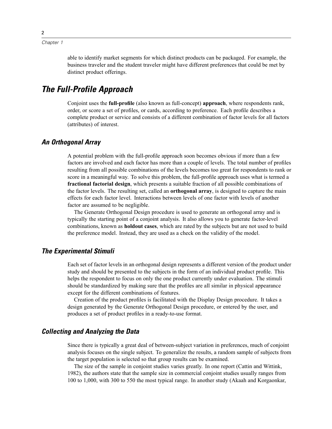<span id="page-7-0"></span>able to identify market segments for which distinct products can be packaged. For example, the business traveler and the student traveler might have different preferences that could be met by distinct product offerings.

## *The Full-Profile Approach*

Conjoint uses the **full-profile** (also known as full-concept) **approach**, where respondents rank, order, or score a set of profiles, or cards, according to preference. Each profile describes a complete product or service and consists of a different combination of factor levels for all factors (attributes) of interest.

#### *An Orthogonal Array*

A potential problem with the full-profile approach soon becomes obvious if more than a few factors are involved and each factor has more than a couple of levels. The total number of profiles resulting from all possible combinations of the levels becomes too great for respondents to rank or score in a meaningful way. To solve this problem, the full-profile approach uses what is termed a **fractional factorial design**, which presents a suitable fraction of all possible combinations of the factor levels. The resulting set, called an **orthogonal array**, is designed to capture the main effects for each factor level. Interactions between levels of one factor with levels of another factor are assumed to be negligible.

The Generate Orthogonal Design procedure is used to generate an orthogonal array and is typically the starting point of a conjoint analysis. It also allows you to generate factor-level combinations, known as **holdout cases**, which are rated by the subjects but are not used to build the preference model. Instead, they are used as a check on the validity of the model.

#### *The Experimental Stimuli*

Each set of factor levels in an orthogonal design represents a different version of the product under study and should be presented to the subjects in the form of an individual product profile. This helps the respondent to focus on only the one product currently under evaluation. The stimuli should be standardized by making sure that the profiles are all similar in physical appearance except for the different combinations of features.

Creation of the product profiles is facilitated with the Display Design procedure. It takes a design generated by the Generate Orthogonal Design procedure, or entered by the user, and produces a set of product profiles in a ready-to-use format.

#### *Collecting and Analyzing the Data*

Since there is typically a great deal of between-subject variation in preferences, much of conjoint analysis focuses on the single subject. To generalize the results, a random sample of subjects from the target population is selected so that group results can be examined.

The size of the sample in conjoint studies varies greatly. In one report (Cattin and Wittink, 1982), the authors state that the sample size in commercial conjoint studies usually ranges from 100 to 1,000, with 300 to 550 the most typical range. In another study (Akaah and Korgaonkar,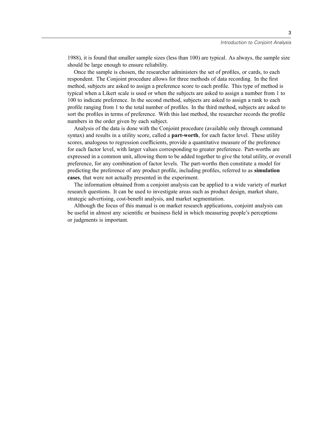<span id="page-8-0"></span>1988), it is found that smaller sample sizes (less than 100) are typical. As always, the sample size should be large enough to ensure reliability.

Once the sample is chosen, the researcher administers the set of profiles, or cards, to each respondent. The Conjoint procedure allows for three methods of data recording. In the first method, subjects are asked to assign a preference score to each profile. This type of method is typical when a Likert scale is used or when the subjects are asked to assign a number from 1 to 100 to indicate preference. In the second method, subjects are asked to assign a rank to each profile ranging from 1 to the total number of profiles. In the third method, subjects are asked to sort the profiles in terms of preference. With this last method, the researcher records the profile numbers in the order given by each subject.

Analysis of the data is done with the Conjoint procedure (available only through command syntax) and results in a utility score, called a **part-worth**, for each factor level. These utility scores, analogous to regression coefficients, provide a quantitative measure of the preference for each factor level, with larger values corresponding to greater preference. Part-worths are expressed in a common unit, allowing them to be added together to give the total utility, or overall preference, for any combination of factor levels. The part-worths then constitute a model for predicting the preference of any product profile, including profiles, referred to as **simulation cases**, that were not actually presented in the experiment.

The information obtained from a conjoint analysis can be applied to a wide variety of market research questions. It can be used to investigate areas such as product design, market share, strategic advertising, cost-benefit analysis, and market segmentation.

Although the focus of this manual is on market research applications, conjoint analysis can be useful in almost any scientific or business field in which measuring people's perceptions or judgments is important.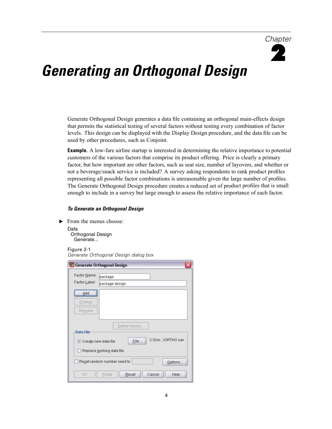![](_page_9_Picture_0.jpeg)

## <span id="page-9-0"></span>*Generating an Orthogonal Design*

Generate Orthogonal Design generates a data file containing an orthogonal main-effects design that permits the statistical testing of several factors without testing every combination of factor levels. This design can be displayed with the Display Design procedure, and the data file can be used by other procedures, such as Conjoint.

**Example.** A low-fare airline startup is interested in determining the relative importance to potential customers of the various factors that comprise its product offering. Price is clearly a primary factor, but how important are other factors, such as seat size, number of layovers, and whether or not a beverage/snack service is included? A survey asking respondents to rank product profiles representing all possible factor combinations is unreasonable given the large number of profiles. The Generate Orthogonal Design procedure creates a reduced set of product profiles that is small enough to include in a survey but large enough to assess the relative importance of each factor.

#### *To Generate an Orthogonal Design*

 $\blacktriangleright$  From the menus choose:

Data Orthogonal Design Generate...

Figure 2-1

*Generate Orthogonal Design dialog box*

| Generate Orthogonal Design                 | x                                         |
|--------------------------------------------|-------------------------------------------|
| Factor Name:                               | package                                   |
| Factor Label:                              | package design                            |
| Add                                        |                                           |
| Change                                     |                                           |
| Remove                                     |                                           |
| <b>Data File</b><br>● Create new data file | Define Values<br>C:\Doc\ORTHO.sav<br>File |
|                                            | Replace working data file                 |
|                                            | Reset random number seed to<br>Options    |
| ОK                                         | Cancel<br>Paste<br>Reset<br>Help          |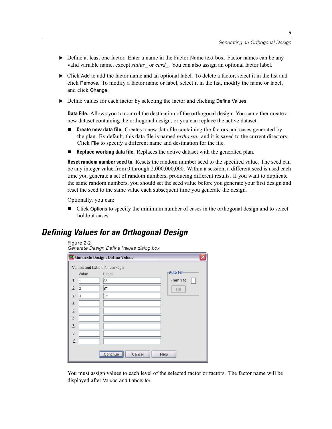- <span id="page-10-0"></span>**EXECUTE:** Define at least one factor. Enter a name in the Factor Name text box. Factor names can be any valid variable name, except *status\_* or *card\_*. You can also assign an optional factor label.
- E Click Add to add the factor name and an optional label. To delete a factor, select it in the list and click Remove. To modify a factor name or label, select it in the list, modify the name or label, and click Change.
- **EXECUTE:** Define values for each factor by selecting the factor and clicking Define Values.

**Data File.** Allows you to control the destination of the orthogonal design. You can either create a new dataset containing the orthogonal design, or you can replace the active dataset.

- **Create new data file.** Creates a new data file containing the factors and cases generated by the plan. By default, this data file is named *ortho.sav*, and it is saved to the current directory. Click File to specify a different name and destination for the file.
- **Replace working data file.** Replaces the active dataset with the generated plan.

**Reset random number seed to.** Resets the random number seed to the specified value. The seed can be any integer value from 0 through 2,000,000,000. Within a session, a different seed is used each time you generate a set of random numbers, producing different results. If you want to duplicate the same random numbers, you should set the seed value before you generate your first design and reset the seed to the same value each subsequent time you generate the design.

Optionally, you can:

Figure 2-2

■ Click Options to specify the minimum number of cases in the orthogonal design and to select holdout cases.

### *Defining Values for an Orthogonal Design*

|                   |       | Generate Design Define Values dialog box |                         |
|-------------------|-------|------------------------------------------|-------------------------|
|                   |       | Generate Design: Define Values           | $\overline{\mathsf{x}}$ |
|                   |       | Values and Labels for package            |                         |
|                   | Value | Label                                    | <b>Auto-Fill</b>        |
| $\perp$           | 11    | Ά¥                                       | From 1 to               |
| 2:                | 2     | B*                                       | Fill                    |
| 3:                | ß.    | lc*                                      |                         |
| $\overline{4}$ :  |       |                                          |                         |
| 5:                |       |                                          |                         |
| <u>б</u> :        |       |                                          |                         |
| Z:                |       |                                          |                         |
| 8:                |       |                                          |                         |
| $\underline{9}$ : |       |                                          |                         |
|                   |       |                                          |                         |
|                   |       | Continue<br>Cancel<br>Help               |                         |
|                   |       |                                          |                         |

You must assign values to each level of the selected factor or factors. The factor name will be displayed after Values and Labels for.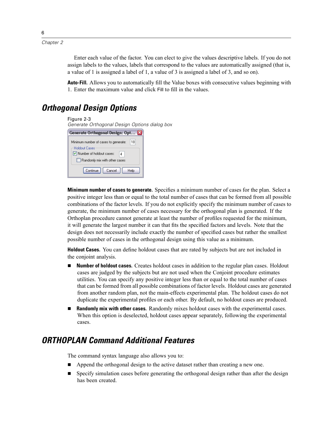<span id="page-11-0"></span>Enter each value of the factor. You can elect to give the values descriptive labels. If you do not assign labels to the values, labels that correspond to the values are automatically assigned (that is, a value of 1 is assigned a label of 1, a value of 3 is assigned a label of 3, and so on).

**Auto-Fill.** Allows you to automatically fill the Value boxes with consecutive values beginning with 1. Enter the maximum value and click Fill to fill in the values.

### *Orthogonal Design Options*

#### Figure 2-3

*Generate Orthogonal Design Options dialog box*

| Generate Orthogonal Design: Opt                         |  |  |
|---------------------------------------------------------|--|--|
| Minimum number of cases to generate:<br>18              |  |  |
| <b>Holdout Cases</b><br>V Number of holdout cases:<br>4 |  |  |
| Randomly mix with other cases                           |  |  |
|                                                         |  |  |
| Cancel<br>Continue<br>Help                              |  |  |

**Minimum number of cases to generate.** Specifies a minimum number of cases for the plan. Select a positive integer less than or equal to the total number of cases that can be formed from all possible combinations of the factor levels. If you do not explicitly specify the minimum number of cases to generate, the minimum number of cases necessary for the orthogonal plan is generated. If the Orthoplan procedure cannot generate at least the number of profiles requested for the minimum, it will generate the largest number it can that fits the specified factors and levels. Note that the design does not necessarily include exactly the number of specified cases but rather the smallest possible number of cases in the orthogonal design using this value as a minimum.

**Holdout Cases.** You can define holdout cases that are rated by subjects but are not included in the conjoint analysis.

- **Number of holdout cases.** Creates holdout cases in addition to the regular plan cases. Holdout cases are judged by the subjects but are not used when the Conjoint procedure estimates utilities. You can specify any positive integer less than or equal to the total number of cases that can be formed from all possible combinations of factor levels. Holdout cases are generated from another random plan, not the main-effects experimental plan. The holdout cases do not duplicate the experimental profiles or each other. By default, no holdout cases are produced.
- **Randomly mix with other cases.** Randomly mixes holdout cases with the experimental cases. When this option is deselected, holdout cases appear separately, following the experimental cases.

### *ORTHOPLAN Command Additional Features*

The command syntax language also allows you to:

- Append the orthogonal design to the active dataset rather than creating a new one.
- Specify simulation cases before generating the orthogonal design rather than after the design has been created.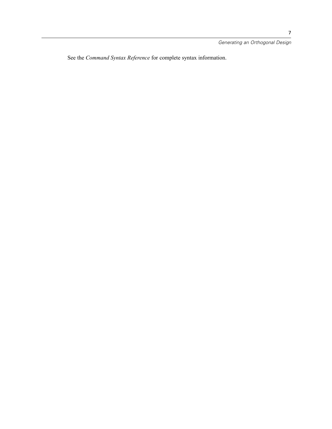*Generating an Orthogonal Design*

See the *Command Syntax Reference* for complete syntax information.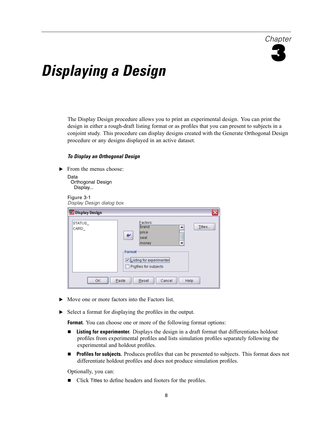## <span id="page-13-0"></span>*Displaying a Design*

The Display Design procedure allows you to print an experimental design. You can print the design in either a rough-draft listing format or as profiles that you can present to subjects in a conjoint study. This procedure can display designs created with the Generate Orthogonal Design procedure or any designs displayed in an active dataset.

#### *To Display an Orthogonal Design*

 $\blacktriangleright$  From the menus choose:

Data Orthogonal Design Display...

Figure 3-1 *Display Design dialog box*

| <b>Display Design</b> | ╳                                                                                                                                                                           |
|-----------------------|-----------------------------------------------------------------------------------------------------------------------------------------------------------------------------|
| STATUS_<br>CARD       | Eactors:<br>Titles<br>brand<br>$\blacktriangle$<br>price<br>B)<br>seal<br>$\overline{\phantom{0}}$<br>money<br>-Format<br>Listing for experimenter<br>Profiles for subjects |
| OK                    | Paste<br>Help<br>Reset<br>Cancel                                                                                                                                            |

- E Move one or more factors into the Factors list.
- $\triangleright$  Select a format for displaying the profiles in the output.

Format. You can choose one or more of the following format options:

- **Listing for experimenter.** Displays the design in a draft format that differentiates holdout profiles from experimental profiles and lists simulation profiles separately following the experimental and holdout profiles.
- **Profiles for subjects.** Produces profiles that can be presented to subjects. This format does not differentiate holdout profiles and does not produce simulation profiles.

Optionally, you can:

■ Click Titles to define headers and footers for the profiles.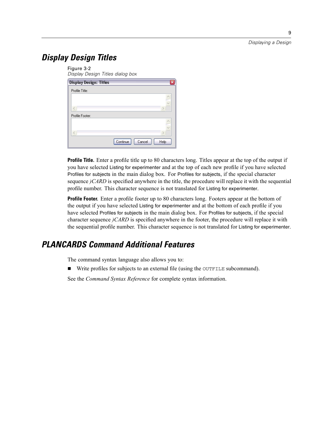*Displaying a Design*

### <span id="page-14-0"></span>*Display Design Titles*

#### Figure 3-2

*Display Design Titles dialog box*

| <b>Display Design: Titles</b> |                            |
|-------------------------------|----------------------------|
| Profile Title:                |                            |
|                               |                            |
|                               |                            |
|                               |                            |
| Profile Footer:               |                            |
|                               |                            |
|                               |                            |
|                               |                            |
|                               | Continue<br>Help<br>Cancel |

**Profile Title.** Enter a profile title up to 80 characters long. Titles appear at the top of the output if you have selected Listing for experimenter and at the top of each new profile if you have selected Profiles for subjects in the main dialog box. For Profiles for subjects, if the special character sequence *)CARD* is specified anywhere in the title, the procedure will replace it with the sequential profile number. This character sequence is not translated for Listing for experimenter.

**Profile Footer.** Enter a profile footer up to 80 characters long. Footers appear at the bottom of the output if you have selected Listing for experimenter and at the bottom of each profile if you have selected Profiles for subjects in the main dialog box. For Profiles for subjects, if the special character sequence *)CARD* is specified anywhere in the footer, the procedure will replace it with the sequential profile number. This character sequence is not translated for Listing for experimenter.

### *PLANCARDS Command Additional Features*

The command syntax language also allows you to:

Write profiles for subjects to an external file (using the OUTFILE subcommand).

See the *Command Syntax Reference* for complete syntax information.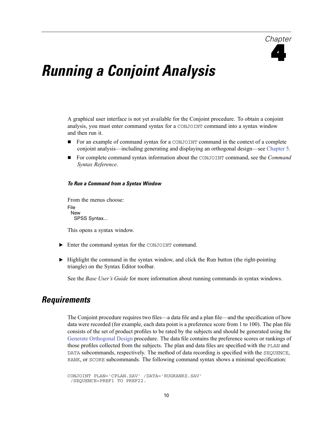![](_page_15_Picture_0.jpeg)

## <span id="page-15-0"></span>*Running a Conjoint Analysis*

A graphical user interface is not yet available for the Conjoint procedure. To obtain a conjoint analysis, you must enter command syntax for a CONJOINT command into a syntax window and then run it.

- For an example of command syntax for a CONJOINT command in the context of a complete conjoint analysis—including generating and displaying an orthogonal design—see [Chapter 5](#page-20-0).
- For complete command syntax information about the CONJOINT command, see the *Command Syntax Reference*.

#### *To Run a Command from a Syntax Window*

From the menus choose: File New SPSS Syntax...

This opens a syntax window.

- $\blacktriangleright$  Enter the command syntax for the CONJOINT command.
- $\blacktriangleright$  Highlight the command in the syntax window, and click the Run button (the right-pointing triangle) on the Syntax Editor toolbar.

See the *Base User's Guide* for more information about running commands in syntax windows.

### *Requirements*

The Conjoint procedure requires two files—a data file and a plan file—and the specification of how data were recorded (for example, each data point is a preference score from 1 to 100). The plan file consists of the set of product profiles to be rated by the subjects and should be generated using the [Generate Orthogonal Design](#page-9-0) procedure. The data file contains the preference scores or rankings of those profiles collected from the subjects. The plan and data files are specified with the PLAN and DATA subcommands, respectively. The method of data recording is specified with the SEQUENCE, RANK, or SCORE subcommands. The following command syntax shows a minimal specification:

```
CONJOINT PLAN='CPLAN.SAV' /DATA='RUGRANKS.SAV'
 /SEQUENCE=PREF1 TO PREF22.
```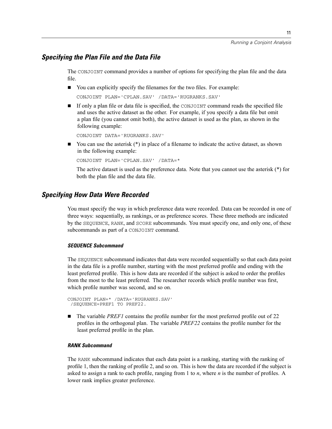*Running a Conjoint Analysis*

#### <span id="page-16-0"></span>*Specifying the Plan File and the Data File*

The CONJOINT command provides a number of options for specifying the plan file and the data file.

■ You can explicitly specify the filenames for the two files. For example:

CONJOINT PLAN='CPLAN.SAV' /DATA='RUGRANKS.SAV'

 $\blacksquare$  If only a plan file or data file is specified, the CONJOINT command reads the specified file and uses the active dataset as the other. For example, if you specify a data file but omit a plan file (you cannot omit both), the active dataset is used as the plan, as shown in the following example:

CONJOINT DATA='RUGRANKS.SAV'

 $\blacksquare$  You can use the asterisk  $(*)$  in place of a filename to indicate the active dataset, as shown in the following example:

CONJOINT PLAN='CPLAN.SAV' /DATA=\*

The active dataset is used as the preference data. Note that you cannot use the asterisk (\*) for both the plan file and the data file.

#### *Specifying How Data Were Recorded*

You must specify the way in which preference data were recorded. Data can be recorded in one of three ways: sequentially, as rankings, or as preference scores. These three methods are indicated by the SEQUENCE, RANK, and SCORE subcommands. You must specify one, and only one, of these subcommands as part of a CONJOINT command.

#### *SEQUENCE Subcommand*

The SEQUENCE subcommand indicates that data were recorded sequentially so that each data point in the data file is a profile number, starting with the most preferred profile and ending with the least preferred profile. This is how data are recorded if the subject is asked to order the profiles from the most to the least preferred. The researcher records which profile number was first, which profile number was second, and so on.

```
CONJOINT PLAN=* /DATA='RUGRANKS.SAV'
 /SEQUENCE=PREF1 TO PREF22.
```
■ The variable *PREF1* contains the profile number for the most preferred profile out of 22 profiles in the orthogonal plan. The variable *PREF22* contains the profile number for the least preferred profile in the plan.

#### *RANK Subcommand*

The RANK subcommand indicates that each data point is a ranking, starting with the ranking of profile 1, then the ranking of profile 2, and so on. This is how the data are recorded if the subject is asked to assign a rank to each profile, ranging from 1 to *n*, where *n* is the number of profiles. A lower rank implies greater preference.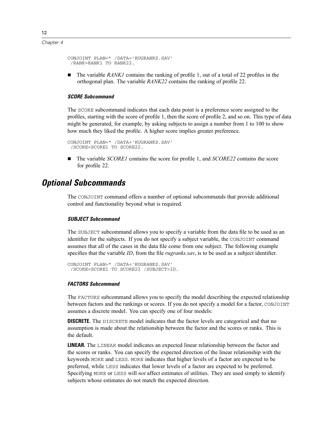```
CONJOINT PLAN=* /DATA='RUGRANKS.SAV'
 /RANK=RANK1 TO RANK22.
```
 The variable *RANK1* contains the ranking of profile 1, out of a total of 22 profiles in the orthogonal plan. The variable *RANK22* contains the ranking of profile 22.

#### *SCORE Subcommand*

The SCORE subcommand indicates that each data point is a preference score assigned to the profiles, starting with the score of profile 1, then the score of profile 2, and so on. This type of data might be generated, for example, by asking subjects to assign a number from 1 to 100 to show how much they liked the profile. A higher score implies greater preference.

```
CONJOINT PLAN=* /DATA='RUGRANKS.SAV'
 /SCORE=SCORE1 TO SCORE22.
```
 The variable *SCORE1* contains the score for profile 1, and *SCORE22* contains the score for profile 22.

### *Optional Subcommands*

The CONJOINT command offers a number of optional subcommands that provide additional control and functionality beyond what is required.

#### *SUBJECT Subcommand*

The SUBJECT subcommand allows you to specify a variable from the data file to be used as an identifier for the subjects. If you do not specify a subject variable, the CONJOINT command assumes that all of the cases in the data file come from one subject. The following example specifies that the variable *ID*, from the file *rugranks.sav*, is to be used as a subject identifier.

```
CONJOINT PLAN=* /DATA='RUGRANKS.SAV'
/SCORE=SCORE1 TO SCORE22 /SUBJECT=ID.
```
#### *FACTORS Subcommand*

The FACTORS subcommand allows you to specify the model describing the expected relationship between factors and the rankings or scores. If you do not specify a model for a factor, CONJOINT assumes a discrete model. You can specify one of four models:

**DISCRETE.** The DISCRETE model indicates that the factor levels are categorical and that no assumption is made about the relationship between the factor and the scores or ranks. This is the default.

**LINEAR.** The LINEAR model indicates an expected linear relationship between the factor and the scores or ranks. You can specify the expected direction of the linear relationship with the keywords MORE and LESS. MORE indicates that higher levels of a factor are expected to be preferred, while LESS indicates that lower levels of a factor are expected to be preferred. Specifying MORE or LESS will *not* affect estimates of utilities. They are used simply to identify subjects whose estimates do not match the expected direction.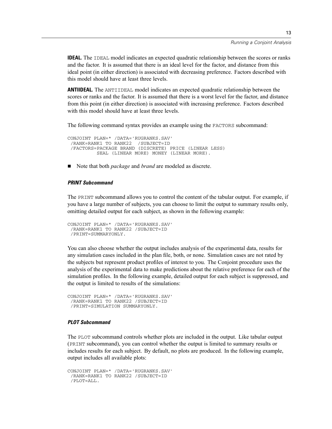<span id="page-18-0"></span>**IDEAL.** The IDEAL model indicates an expected quadratic relationship between the scores or ranks and the factor. It is assumed that there is an ideal level for the factor, and distance from this ideal point (in either direction) is associated with decreasing preference. Factors described with this model should have at least three levels.

**ANTIIDEAL.** The ANTIIDEAL model indicates an expected quadratic relationship between the scores or ranks and the factor. It is assumed that there is a worst level for the factor, and distance from this point (in either direction) is associated with increasing preference. Factors described with this model should have at least three levels.

The following command syntax provides an example using the FACTORS subcommand:

```
CONJOINT PLAN=* /DATA='RUGRANKS.SAV'
/RANK=RANK1 TO RANK22 /SUBJECT=ID
/FACTORS=PACKAGE BRAND (DISCRETE) PRICE (LINEAR LESS)
         SEAL (LINEAR MORE) MONEY (LINEAR MORE).
```
■ Note that both *package* and *brand* are modeled as discrete.

#### *PRINT Subcommand*

The PRINT subcommand allows you to control the content of the tabular output. For example, if you have a large number of subjects, you can choose to limit the output to summary results only, omitting detailed output for each subject, as shown in the following example:

```
CONJOINT PLAN=* /DATA='RUGRANKS.SAV'
 /RANK=RANK1 TO RANK22 /SUBJECT=ID
 /PRINT=SUMMARYONLY.
```
You can also choose whether the output includes analysis of the experimental data, results for any simulation cases included in the plan file, both, or none. Simulation cases are not rated by the subjects but represent product profiles of interest to you. The Conjoint procedure uses the analysis of the experimental data to make predictions about the relative preference for each of the simulation profiles. In the following example, detailed output for each subject is suppressed, and the output is limited to results of the simulations:

```
CONJOINT PLAN=* /DATA='RUGRANKS.SAV'
 /RANK=RANK1 TO RANK22 /SUBJECT=ID
 /PRINT=SIMULATION SUMMARYONLY.
```
#### *PLOT Subcommand*

The PLOT subcommand controls whether plots are included in the output. Like tabular output (PRINT subcommand), you can control whether the output is limited to summary results or includes results for each subject. By default, no plots are produced. In the following example, output includes all available plots:

```
CONJOINT PLAN=* /DATA='RUGRANKS.SAV'
/RANK=RANK1 TO RANK22 /SUBJECT=ID
 /PLOT=ALL.
```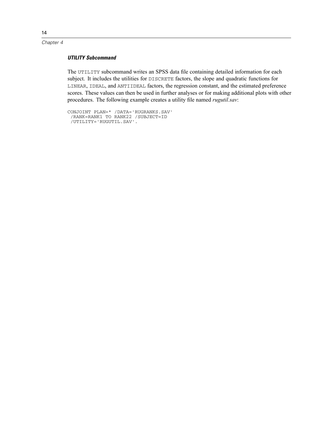#### *UTILITY Subcommand*

The UTILITY subcommand writes an SPSS data file containing detailed information for each subject. It includes the utilities for DISCRETE factors, the slope and quadratic functions for LINEAR, IDEAL, and ANTIIDEAL factors, the regression constant, and the estimated preference scores. These values can then be used in further analyses or for making additional plots with other procedures. The following example creates a utility file named *rugutil.sav*:

CONJOINT PLAN=\* /DATA='RUGRANKS.SAV' /RANK=RANK1 TO RANK22 /SUBJECT=ID /UTILITY='RUGUTIL.SAV'.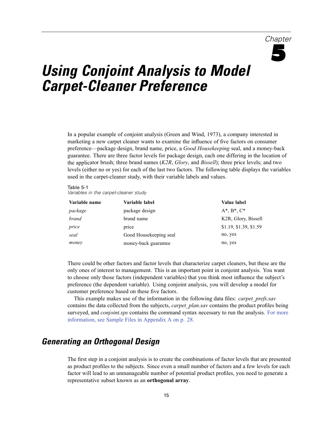## <span id="page-20-0"></span>*Using Conjoint Analysis to Model Carpet-Cleaner Preference*

In a popular example of conjoint analysis (Green and Wind, 1973), a company interested in marketing a new carpet cleaner wants to examine the influence of five factors on consumer preference—package design, brand name, price, a *Good Housekeeping* seal, and a money-back guarantee. There are three factor levels for package design, each one differing in the location of the applicator brush; three brand names (*K2R*, *Glory*, and *Bissell*); three price levels; and two levels (either no or yes) for each of the last two factors. The following table displays the variables used in the carpet-cleaner study, with their variable labels and values.

#### Table 5-1

*Variables in the carpet-cleaner study*

| Variable name | Variable label         | Value label                      |
|---------------|------------------------|----------------------------------|
| package       | package design         | $A^*, B^*, C^*$                  |
| <b>brand</b>  | brand name             | K <sub>2</sub> R, Glory, Bissell |
| price         | price                  | \$1.19, \$1.39, \$1.59           |
| seal          | Good Housekeeping seal | no, yes                          |
| money         | money-back guarantee   | no, yes                          |

There could be other factors and factor levels that characterize carpet cleaners, but these are the only ones of interest to management. This is an important point in conjoint analysis. You want to choose only those factors (independent variables) that you think most influence the subject's preference (the dependent variable). Using conjoint analysis, you will develop a model for customer preference based on these five factors.

This example makes use of the information in the following data files: *carpet\_prefs.sav* contains the data collected from the subjects, *carpet\_plan.sav* contains the product profiles being surveyed, and *conjoint.sps* contains the command syntax necessary to run the analysis. [For more](#page-33-0) information, see Sample Files in Appendix A on p. [28.](#page-33-0)

### *Generating an Orthogonal Design*

The first step in a conjoint analysis is to create the combinations of factor levels that are presented as product profiles to the subjects. Since even a small number of factors and a few levels for each factor will lead to an unmanageable number of potential product profiles, you need to generate a representative subset known as an **orthogonal array**.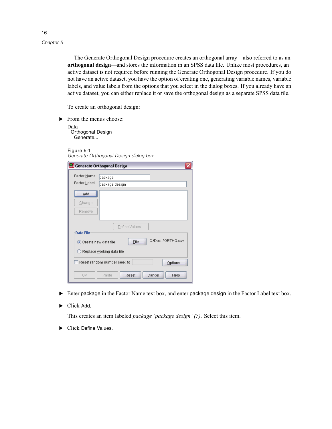The Generate Orthogonal Design procedure creates an orthogonal array—also referred to as an **orthogonal design**—and stores the information in an SPSS data file. Unlike most procedures, an active dataset is not required before running the Generate Orthogonal Design procedure. If you do not have an active dataset, you have the option of creating one, generating variable names, variable labels, and value labels from the options that you select in the dialog boxes. If you already have an active dataset, you can either replace it or save the orthogonal design as a separate SPSS data file.

To create an orthogonal design:

 $\blacktriangleright$  From the menus choose:

Data Orthogonal Design Generate...

```
Figure 5-1
Generate Orthogonal Design dialog box
```

| Generate Orthogonal Design |                                        |
|----------------------------|----------------------------------------|
| Factor Name:               | package                                |
| Factor Label:              | package design                         |
| Add                        |                                        |
| Change                     |                                        |
| Remove                     |                                        |
|                            |                                        |
| <b>Data File</b>           | Define Values                          |
|                            | C:\Doc\ORTHO.sav                       |
| ● Create new data file     | File                                   |
|                            | Replace working data file              |
|                            | Reset random number seed to<br>Options |
| 0K                         | Reset<br>Cancel<br>Paste<br>Help       |

- $\triangleright$  Enter package in the Factor Name text box, and enter package design in the Factor Label text box.
- $\blacktriangleright$  Click Add.

This creates an item labeled *package 'package design' (?)*. Select this item.

▶ Click Define Values.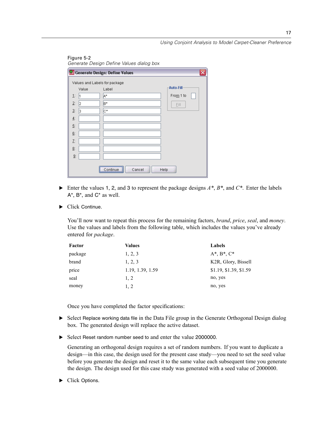*Using Conjoint Analysis to Model Carpet-Cleaner Preference*

|                  | Figure 5-2                    | Generate Design Define Values dialog box |           |
|------------------|-------------------------------|------------------------------------------|-----------|
|                  |                               | <b>Cenerate Design: Define Values</b>    |           |
|                  | Values and Labels for package |                                          |           |
|                  | Value                         | Label                                    | Auto-Fill |
| $\perp$ :        |                               | A*                                       | From 1 to |
| $\sum$           | 12                            | B*                                       | Fill      |
| 3:               | 3                             | lc*                                      |           |
| $\overline{4}$ : |                               |                                          |           |
| 5:               |                               |                                          |           |
| 6:               |                               |                                          |           |
| 7:               |                               |                                          |           |

Cancel

Continue

Enter the values 1, 2, and 3 to represent the package designs  $A^*, B^*$ , and  $C^*$ . Enter the labels  $A^*$ ,  $B^*$ , and  $C^*$  as well.

Help

 $\blacktriangleright$  Click Continue.

 $\underline{8}$  $\underline{9}$ :

You'll now want to repeat this process for the remaining factors, *brand*, *price*, *seal*, and *money*. Use the values and labels from the following table, which includes the values you've already entered for *package*.

| Factor  | <b>Values</b>    | Labels                           |
|---------|------------------|----------------------------------|
| package | 1, 2, 3          | $A^*, B^*, C^*$                  |
| brand   | 1, 2, 3          | K <sub>2</sub> R, Glory, Bissell |
| price   | 1.19, 1.39, 1.59 | \$1.19, \$1.39, \$1.59           |
| seal    | 1, 2             | no, yes                          |
| money   | 1, 2             | no, yes                          |
|         |                  |                                  |

Once you have completed the factor specifications:

- Exercise Replace working data file in the Data File group in the Generate Orthogonal Design dialog box. The generated design will replace the active dataset.
- E Select Reset random number seed to and enter the value 2000000.

Generating an orthogonal design requires a set of random numbers. If you want to duplicate a design—in this case, the design used for the present case study—you need to set the seed value before you generate the design and reset it to the same value each subsequent time you generate the design. The design used for this case study was generated with a seed value of 2000000.

▶ Click Options.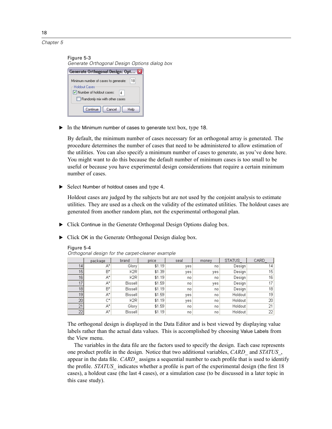#### Figure 5-3

*Generate Orthogonal Design Options dialog box* -

| Generate Orthogonal Design: Opt <b>Ex</b>                          |
|--------------------------------------------------------------------|
| 18<br>Minimum number of cases to generate:<br><b>Holdout Cases</b> |
| V Number of holdout cases:<br>4                                    |
| Randomly mix with other cases                                      |
| Cancel<br>Continue<br>Help                                         |

 $\triangleright$  In the Minimum number of cases to generate text box, type 18.

By default, the minimum number of cases necessary for an orthogonal array is generated. The procedure determines the number of cases that need to be administered to allow estimation of the utilities. You can also specify a minimum number of cases to generate, as you've done here. You might want to do this because the default number of minimum cases is too small to be useful or because you have experimental design considerations that require a certain minimum number of cases.

Exercise Number of holdout cases and type 4.

Holdout cases are judged by the subjects but are not used by the conjoint analysis to estimate utilities. They are used as a check on the validity of the estimated utilities. The holdout cases are generated from another random plan, not the experimental orthogonal plan.

- **EXECUTE:** Click Continue in the Generate Orthogonal Design Options dialog box.
- **EXECUTE:** Click OK in the Generate Orthogonal Design dialog box.

|                 | package        | brand          | price  | seal       | money | <b>STATUS</b> | CARD |
|-----------------|----------------|----------------|--------|------------|-------|---------------|------|
| 14              | A*             | Glory          | \$1.19 | yes        | no.   | Design        | 14   |
| 15              | B*             | K2R            | \$1.39 | ves        | yes   | Design        | 15   |
| 16 <sub>1</sub> | $A^*$          | K2R            | \$1.19 | no.        | no.   | Design        | 16   |
| 17              | $A^*$          | Bissell        | \$1.59 | no         | yes.  | Design        | 17   |
| 18              | B*             | <b>Bissell</b> | \$1.19 | no.        | no.   | Design!       | 18   |
| 19              | A*             | <b>Bissell</b> | \$1.59 | <b>ves</b> | no.   | Holdout       | 19   |
| 201             | $\mathbb{C}^*$ | K2R            | \$1.19 | ves        | no.   | Holdout       | 20   |
| 21              | A*             | Glory          | \$1.59 | no.        | no.   | Holdout       | 21   |
| 22              | $A^*$          | <b>Bissell</b> | \$1.19 | no         | no.   | Holdout       | 22   |

#### Figure 5-4

*Orthogonal design for the carpet-cleaner example*

The orthogonal design is displayed in the Data Editor and is best viewed by displaying value labels rather than the actual data values. This is accomplished by choosing Value Labels from the View menu.

The variables in the data file are the factors used to specify the design. Each case represents one product profile in the design. Notice that two additional variables, *CARD\_* and *STATUS\_*, appear in the data file. *CARD* assigns a sequential number to each profile that is used to identify the profile. *STATUS\_* indicates whether a profile is part of the experimental design (the first 18 cases), a holdout case (the last 4 cases), or a simulation case (to be discussed in a later topic in this case study).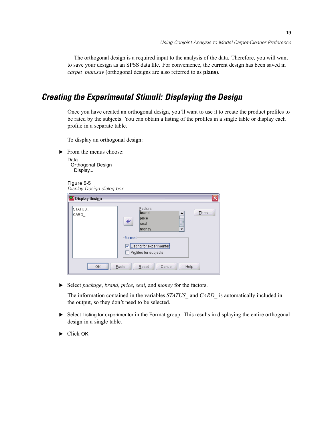<span id="page-24-0"></span>The orthogonal design is a required input to the analysis of the data. Therefore, you will want to save your design as an SPSS data file. For convenience, the current design has been saved in *carpet\_plan.sav* (orthogonal designs are also referred to as **plans**).

### *Creating the Experimental Stimuli: Displaying the Design*

Once you have created an orthogonal design, you'll want to use it to create the product profiles to be rated by the subjects. You can obtain a listing of the profiles in a single table or display each profile in a separate table.

To display an orthogonal design:

 $\blacktriangleright$  From the menus choose:

Data Orthogonal Design Display...

#### Figure 5-5 *Display Design dialog box*

| <b>Display Design</b>                  | x                                                                                                                                                                          |
|----------------------------------------|----------------------------------------------------------------------------------------------------------------------------------------------------------------------------|
| $\overline{\text{STATUS}}_{-}$<br>CARD | Eactors:<br>Titles<br>brand<br>$\blacktriangle$<br>price<br>B<br>seal<br>$\overline{\phantom{a}}$<br>money<br>-Format<br>Listing for experimenter<br>Profiles for subjects |
| OK                                     | Paste<br>Help<br>Reset<br>Cancel                                                                                                                                           |

E Select *package*, *brand*, *price*, *seal*, and *money* for the factors.

The information contained in the variables *STATUS\_* and *CARD\_* is automatically included in the output, so they don't need to be selected.

- $\triangleright$  Select Listing for experimenter in the Format group. This results in displaying the entire orthogonal design in a single table.
- $\blacktriangleright$  Click OK.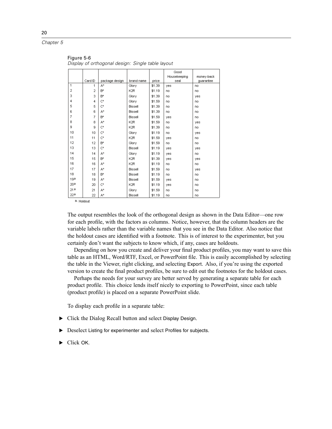|                 |                |                |                |        | Good         |            |
|-----------------|----------------|----------------|----------------|--------|--------------|------------|
|                 |                |                |                |        | Housekeeping | money-back |
|                 | Card ID        | package design | brand name     | price  | seal         | guarantee  |
| 1               | 1              | A*             | Glory          | \$1.39 | yes          | no         |
| 2               | $\overline{2}$ | B*             | K2R            | \$1.19 | no           | no         |
| 3               | 3              | B*             | Glory          | \$1.39 | no           | yes        |
| 4               | 4              | C*             | Glory          | \$1.59 | no.          | no         |
| 5               | 5              | C*             | <b>Bissell</b> | \$1.39 | no.          | no.        |
| 6               | 6              | A*             | <b>Bissell</b> | \$1.39 | DO.          | DO.        |
| 7               | 7              | B,             | <b>Bissell</b> | \$1.59 | yes          | no.        |
| 8               | 8              | A*             | K2R            | \$1.59 | no           | yes        |
| 9               | 9              | C*             | K2R            | \$1.39 | no           | no.        |
| 10              | 10             | C*             | Glory          | \$1.19 | no           | yes        |
| 11              | 11             | C*             | K2R            | \$1.59 | ves          | no         |
| 12              | 12             | B*             | Glory          | \$1.59 | no.          | no         |
| 13              | 13             | C*             | <b>Bissell</b> | \$1.19 | yes          | yes        |
| 14              | 14             | A*             | Glory          | \$1.19 | yes          | no.        |
| 15              | 15             | B*             | K2R            | \$1.39 | yes          | yes        |
| 16              | 16             | A*             | K2R            | \$1.19 | no           | no.        |
| 17              | 17             | A*             | <b>Bissell</b> | \$1.59 | no           | yes        |
| 18              | 18             | B*             | <b>Bissell</b> | \$1.19 | no           | no.        |
| 19 <sup>3</sup> | 19             | A*             | <b>Bissell</b> | \$1.59 | ves          | DO.        |
| 20 <sup>3</sup> | 20             | C*             | K2R            | \$1.19 | yes          | no         |
| 21 <sup>a</sup> | 21             | A*             | Glory          | \$1.59 | DO.          | DO.        |
| 22a             | 22             | A*             | <b>Bissell</b> | \$1.19 | no           | no         |

Figure 5-6 *Display of orthogonal design: Single table layout*

a. Holdout

The output resembles the look of the orthogonal design as shown in the Data Editor—one row for each profile, with the factors as columns. Notice, however, that the column headers are the variable labels rather than the variable names that you see in the Data Editor. Also notice that the holdout cases are identified with a footnote. This is of interest to the experimenter, but you certainly don't want the subjects to know which, if any, cases are holdouts.

Depending on how you create and deliver your final product profiles, you may want to save this table as an HTML, Word/RTF, Excel, or PowerPoint file. This is easily accomplished by selecting the table in the Viewer, right clicking, and selecting Export. Also, if you're using the exported version to create the final product profiles, be sure to edit out the footnotes for the holdout cases.

Perhaps the needs for your survey are better served by generating a separate table for each product profile. This choice lends itself nicely to exporting to PowerPoint, since each table (product profile) is placed on a separate PowerPoint slide.

To display each profile in a separate table:

- E Click the Dialog Recall button and select Display Design.
- **EXECUTE:** Deselect Listing for experimenter and select Profiles for subjects.
- $\blacktriangleright$  Click OK.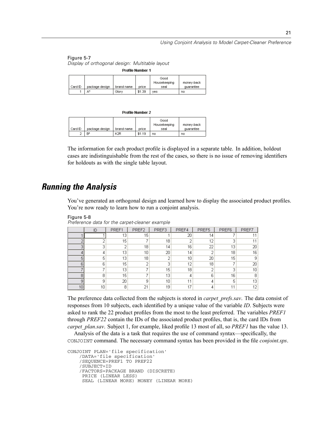#### *Using Conjoint Analysis to Model Carpet-Cleaner Preference*

<span id="page-26-0"></span>

| Figure 5-7 |                                                 |  |
|------------|-------------------------------------------------|--|
|            | Display of orthogonal design: Multitable layout |  |

**Profile Number 1** 

| Card ID | package design | brand name | price  | Good<br>Housekeeping<br>seal | money-back<br>quarantee |
|---------|----------------|------------|--------|------------------------------|-------------------------|
|         | A*             | Glory      | \$1.39 | ves                          | no                      |

**Drofile Number 2** 

| Card ID | package design | brand name | price  | Good<br>Housekeeping<br>seal | money-back<br>quarantee |
|---------|----------------|------------|--------|------------------------------|-------------------------|
|         | Р*             | K2R        | \$1.19 | no                           | no                      |

The information for each product profile is displayed in a separate table. In addition, holdout cases are indistinguishable from the rest of the cases, so there is no issue of removing identifiers for holdouts as with the single table layout.

### *Running the Analysis*

You've generated an orthogonal design and learned how to display the associated product profiles. You're now ready to learn how to run a conjoint analysis.

| Figure 5-8 |
|------------|
|------------|

|                | ID       | PREF1 | PREF <sub>2</sub> | PREF3 | PREF4 | PREF <sub>5</sub> | PREF <sub>6</sub> | PREF7 |
|----------------|----------|-------|-------------------|-------|-------|-------------------|-------------------|-------|
|                |          | 13    | 15                |       | 20    | 14                |                   |       |
| ۰              | o        | 15    | ⇁                 | 18    | ำ     | 12                | 3                 | 11    |
| r              | 3        | o     | 18                | 14    | 16    | 22                | 13                | 20    |
|                | 4        | 13    | 10                | 20    | 14    | o                 | 18                | 16    |
|                | 5        | 13    | 18                | o     | 10    | 20                | 15                | 9     |
| คิ             | 6        | 15    | o                 | 3     | 12    | 18                | -                 | 20    |
|                | <b>+</b> | 13    | <b>+</b>          | 15    | 18    | o                 | 3                 | 10    |
| 8              | 8        | 15.   | <b>+</b>          | 13    | 4     | 6                 | 16                | 8     |
| g              | 9        | 20    | 9                 | 10    | 44    |                   | 5                 | 13    |
| 1 <sup>1</sup> | 10       | 8     | 21                | 19    | 17    |                   | 44                | 12    |

*Preference data for the carpet-cleaner example*

The preference data collected from the subjects is stored in *carpet\_prefs.sav*. The data consist of responses from 10 subjects, each identified by a unique value of the variable *ID*. Subjects were asked to rank the 22 product profiles from the most to the least preferred. The variables *PREF1* through *PREF22* contain the IDs of the associated product profiles, that is, the card IDs from *carpet\_plan.sav*. Subject 1, for example, liked profile 13 most of all, so *PREF1* has the value 13.

Analysis of the data is a task that requires the use of command syntax—specifically, the CONJOINT command. The necessary command syntax has been provided in the file *conjoint.sps*.

```
CONJOINT PLAN='file specification'
    /DATA='file specification'
    /SEQUENCE=PREF1 TO PREF22
    /SUBJECT=ID
    /FACTORS=PACKAGE BRAND (DISCRETE)
    PRICE (LINEAR LESS)
    SEAL (LINEAR MORE) MONEY (LINEAR MORE)
```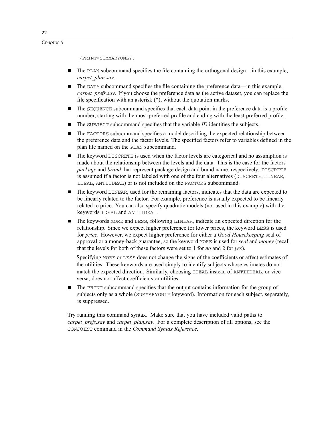/PRINT=SUMMARYONLY.

- <span id="page-27-0"></span> $\blacksquare$  The PLAN subcommand specifies the file containing the orthogonal design—in this example, *carpet\_plan.sav*.
- The DATA subcommand specifies the file containing the preference data—in this example, *carpet prefs.sav.* If you choose the preference data as the active dataset, you can replace the file specification with an asterisk (\*), without the quotation marks.
- The SEQUENCE subcommand specifies that each data point in the preference data is a profile number, starting with the most-preferred profile and ending with the least-preferred profile.
- The SUBJECT subcommand specifies that the variable *ID* identifies the subjects.
- **The FACTORS subcommand specifies a model describing the expected relationship between** the preference data and the factor levels. The specified factors refer to variables defined in the plan file named on the PLAN subcommand.
- The keyword DISCRETE is used when the factor levels are categorical and no assumption is made about the relationship between the levels and the data. This is the case for the factors *package* and *brand* that represent package design and brand name, respectively. DISCRETE is assumed if a factor is not labeled with one of the four alternatives (DISCRETE, LINEAR, IDEAL, ANTIIDEAL) or is not included on the FACTORS subcommand.
- The keyword LINEAR, used for the remaining factors, indicates that the data are expected to be linearly related to the factor. For example, preference is usually expected to be linearly related to price. You can also specify quadratic models (not used in this example) with the keywords IDEAL and ANTIIDEAL.
- The keywords MORE and LESS, following LINEAR, indicate an expected direction for the relationship. Since we expect higher preference for lower prices, the keyword LESS is used for *price*. However, we expect higher preference for either a *Good Housekeeping* seal of approval or a money-back guarantee, so the keyword MORE is used for *seal* and *money* (recall that the levels for both of these factors were set to 1 for *no* and 2 for *yes*).

Specifying MORE or LESS does not change the signs of the coefficients or affect estimates of the utilities. These keywords are used simply to identify subjects whose estimates do not match the expected direction. Similarly, choosing IDEAL instead of ANTIIDEAL, or vice versa, does not affect coefficients or utilities.

 The PRINT subcommand specifies that the output contains information for the group of subjects only as a whole (SUMMARYONLY keyword). Information for each subject, separately, is suppressed.

Try running this command syntax. Make sure that you have included valid paths to *carpet prefs.sav* and *carpet plan.sav*. For a complete description of all options, see the CONJOINT command in the *Command Syntax Reference*.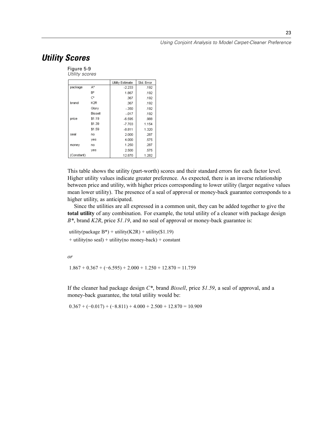### <span id="page-28-0"></span>*Utility Scores*

Figure 5-9 *Utility scores*

|            |                | Utility Estimate | Std. Error |
|------------|----------------|------------------|------------|
| package    | A*             | $-2.233$         | .192       |
|            | A*             | 1.867            | .192       |
|            | C*             | .367             | .192       |
| brand      | K2R            | .367             | .192       |
|            | Glory          | $-350$           | .192       |
|            | <b>Bissell</b> | $-017$           | .192       |
| price      | \$1.19         | $-6.595$         | .988       |
|            | \$1.39         | $-7.703$         | 1.154      |
|            | \$1.59         | $-8.811$         | 1.320      |
| seal       | no             | 2.000            | .287       |
|            | yes            | 4.000            | .575       |
| money      | no             | 1.250            | .287       |
|            | yes            | 2.500            | .575       |
| (Constant) |                | 12.870           | 1.282      |

This table shows the utility (part-worth) scores and their standard errors for each factor level. Higher utility values indicate greater preference. As expected, there is an inverse relationship between price and utility, with higher prices corresponding to lower utility (larger negative values mean lower utility). The presence of a seal of approval or money-back guarantee corresponds to a higher utility, as anticipated.

Since the utilities are all expressed in a common unit, they can be added together to give the **total utility** of any combination. For example, the total utility of a cleaner with package design *B\**, brand *K2R*, price *\$1.19*, and no seal of approval or money-back guarantee is:

utility(package  $B^*$ ) + utility(K2R) + utility(\$1.19)  $+$  utility(no seal)  $+$  utility(no money-back)  $+$  constant

*or*

 $1.867 + 0.367 + (-6.595) + 2.000 + 1.250 + 12.870 = 11.759$ 

If the cleaner had package design *C\**, brand *Bissell*, price *\$1.59*, a seal of approval, and a money-back guarantee, the total utility would be:

 $0.367 + (-0.017) + (-8.811) + 4.000 + 2.500 + 12.870 = 10.909$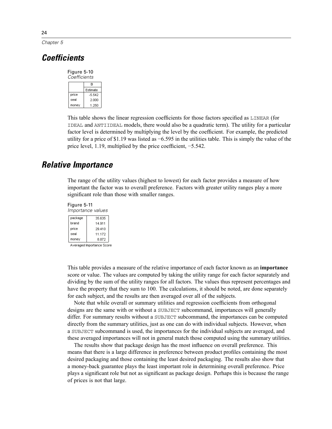## <span id="page-29-0"></span>*Coefficients*

| Figure 5-10<br>Coefficients |          |  |
|-----------------------------|----------|--|
|                             | A        |  |
|                             | Estimate |  |
| price                       | $-5.542$ |  |
| seal                        | 2.000    |  |
| money                       | 1.250    |  |

This table shows the linear regression coefficients for those factors specified as LINEAR (for IDEAL and ANTIIDEAL models, there would also be a quadratic term). The utility for a particular factor level is determined by multiplying the level by the coefficient. For example, the predicted utility for a price of \$1.19 was listed as −6.595 in the utilities table. This is simply the value of the price level, 1.19, multiplied by the price coefficient, −5.542.

### *Relative Importance*

The range of the utility values (highest to lowest) for each factor provides a measure of how important the factor was to overall preference. Factors with greater utility ranges play a more significant role than those with smaller ranges.

Figure 5-11 *Importance values*

| package                   | 35.635 |  |
|---------------------------|--------|--|
| brand                     | 14.911 |  |
| price                     | 29.410 |  |
| seal                      | 11 172 |  |
| money                     | 8.872  |  |
| Averaged Importance Score |        |  |

This table provides a measure of the relative importance of each factor known as an **importance** score or value. The values are computed by taking the utility range for each factor separately and dividing by the sum of the utility ranges for all factors. The values thus represent percentages and

have the property that they sum to 100. The calculations, it should be noted, are done separately for each subject, and the results are then averaged over all of the subjects. Note that while overall or summary utilities and regression coefficients from orthogonal

designs are the same with or without a SUBJECT subcommand, importances will generally differ. For summary results without a SUBJECT subcommand, the importances can be computed directly from the summary utilities, just as one can do with individual subjects. However, when a SUBJECT subcommand is used, the importances for the individual subjects are averaged, and these averaged importances will not in general match those computed using the summary utilities.

The results show that package design has the most influence on overall preference. This means that there is a large difference in preference between product profiles containing the most desired packaging and those containing the least desired packaging. The results also show that a money-back guarantee plays the least important role in determining overall preference. Price plays a significant role but not as significant as package design. Perhaps this is because the range of prices is not that large.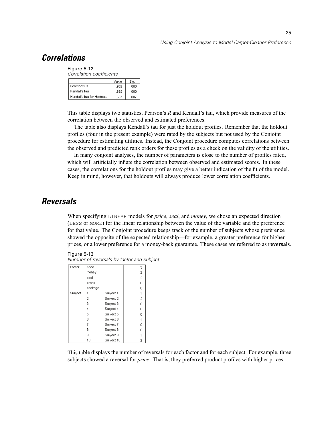#### *Using Conjoint Analysis to Model Carpet-Cleaner Preference*

### <span id="page-30-0"></span>*Correlations*

Figure 5-12 *Correlation coefficients*

| .                          |       |      |  |  |
|----------------------------|-------|------|--|--|
|                            | Value | Sia  |  |  |
| Pearson's R                | .982  | .000 |  |  |
| Kendall's tau              | .892  | .000 |  |  |
| Kendall's tau for Holdouts | 667   | 087  |  |  |

This table displays two statistics, Pearson's *R* and Kendall's tau, which provide measures of the correlation between the observed and estimated preferences.

The table also displays Kendall's tau for just the holdout profiles. Remember that the holdout profiles (four in the present example) were rated by the subjects but not used by the Conjoint procedure for estimating utilities. Instead, the Conjoint procedure computes correlations between the observed and predicted rank orders for these profiles as a check on the validity of the utilities.

In many conjoint analyses, the number of parameters is close to the number of profiles rated, which will artificially inflate the correlation between observed and estimated scores. In these cases, the correlations for the holdout profiles may give a better indication of the fit of the model. Keep in mind, however, that holdouts will always produce lower correlation coefficients.

### *Reversals*

When specifying LINEAR models for *price*, *seal*, and *money*, we chose an expected direction (LESS or MORE) for the linear relationship between the value of the variable and the preference for that value. The Conjoint procedure keeps track of the number of subjects whose preference showed the opposite of the expected relationship—for example, a greater preference for higher prices, or a lower preference for a money-back guarantee. These cases are referred to as **reversals**.

#### Figure 5-13

*Number of reversals by factor and subject*

| Factor  | price   |            | з |
|---------|---------|------------|---|
|         | money   |            | 2 |
|         | seal    |            | 2 |
|         | brand   |            | ٥ |
|         | package |            | 0 |
| Subject | 1       | Subject 1  | 1 |
|         | 2       | Subject 2  | 2 |
|         | 3       | Subject 3  | 0 |
|         | 4       | Subject 4  | ٥ |
|         | 5       | Subject 5  | 0 |
|         | 6       | Subject 6  | 1 |
|         | 7       | Subject 7  | 0 |
|         | 8       | Subject 8  | ٥ |
|         | 9       | Subject 9  |   |
|         | 10      | Subject 10 | 2 |

This table displays the number of reversals for each factor and for each subject. For example, three subjects showed a reversal for *price*. That is, they preferred product profiles with higher prices.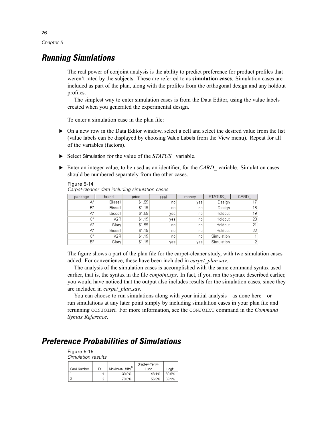### <span id="page-31-0"></span>*Running Simulations*

The real power of conjoint analysis is the ability to predict preference for product profiles that weren't rated by the subjects. These are referred to as **simulation cases**. Simulation cases are included as part of the plan, along with the profiles from the orthogonal design and any holdout profiles.

The simplest way to enter simulation cases is from the Data Editor, using the value labels created when you generated the experimental design.

To enter a simulation case in the plan file:

- E On a new row in the Data Editor window, select a cell and select the desired value from the list (value labels can be displayed by choosing Value Labels from the View menu). Repeat for all of the variables (factors).
- E Select Simulation for the value of the *STATUS\_* variable.
- ► Enter an integer value, to be used as an identifier, for the *CARD* variable. Simulation cases should be numbered separately from the other cases.

Figure 5-14

*Carpet-cleaner data including simulation cases*

| <b>STATUS</b><br>CARD<br>package<br>brand<br>price<br>seal<br>money<br>A*<br><b>Bissell</b><br>\$1.59<br>Design<br>no.<br>yes. |    |
|--------------------------------------------------------------------------------------------------------------------------------|----|
|                                                                                                                                |    |
|                                                                                                                                | 17 |
| B*<br>\$1.19<br><b>Bissell</b><br>Design<br>no.<br>no                                                                          | 18 |
| A*<br>\$1.59<br>Holdout<br><b>Bissell</b><br>yes.<br>no                                                                        | 19 |
| C*<br>K2R<br>\$1.19<br>Holdout<br>yes.<br>no                                                                                   | 20 |
| A*<br>\$1.59<br>Glory<br>Holdout<br>no.<br>no                                                                                  | 21 |
| A*<br>\$1.19<br><b>Bissell</b><br>Holdout<br>no.<br>no                                                                         | 22 |
| C*<br>K2R.<br>\$1.19<br>Simulation<br>no.<br>no                                                                                |    |
| B*<br>\$1.19<br>Simulation<br>Glory<br>yes.<br>yes                                                                             | 2  |

The figure shows a part of the plan file for the carpet-cleaner study, with two simulation cases added. For convenience, these have been included in *carpet\_plan.sav*.

The analysis of the simulation cases is accomplished with the same command syntax used earlier, that is, the syntax in the file *conjoint.sps*. In fact, if you ran the syntax described earlier, you would have noticed that the output also includes results for the simulation cases, since they are included in *carpet\_plan.sav*.

You can choose to run simulations along with your initial analysis—as done here—or run simulations at any later point simply by including simulation cases in your plan file and rerunning CONJOINT. For more information, see the CONJOINT command in the *Command Syntax Reference*.

## *Preference Probabilities of Simulations*

Figure 5-15 *Simulation results*

| Card Number | ID | Maximum Utility <sup>a</sup> | Bradley-Terry-<br>Luce | Logit |
|-------------|----|------------------------------|------------------------|-------|
|             |    | 30.0%                        | 43.1%                  | 30.9% |
|             |    | 70.0%                        | 56.9%                  | 69.1% |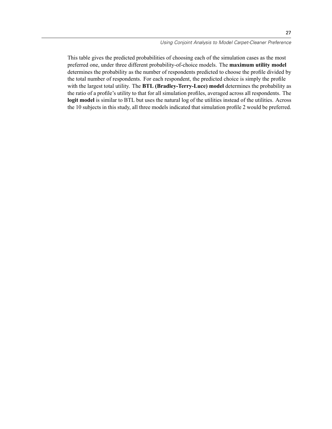*Using Conjoint Analysis to Model Carpet-Cleaner Preference*

This table gives the predicted probabilities of choosing each of the simulation cases as the most preferred one, under three different probability-of-choice models. The **maximum utility model** determines the probability as the number of respondents predicted to choose the profile divided by the total number of respondents. For each respondent, the predicted choice is simply the profile with the largest total utility. The **BTL (Bradley-Terry-Luce) model** determines the probability as the ratio of a profile's utility to that for all simulation profiles, averaged across all respondents. The logit model is similar to BTL but uses the natural log of the utilities instead of the utilities. Across the 10 subjects in this study, all three models indicated that simulation profile 2 would be preferred.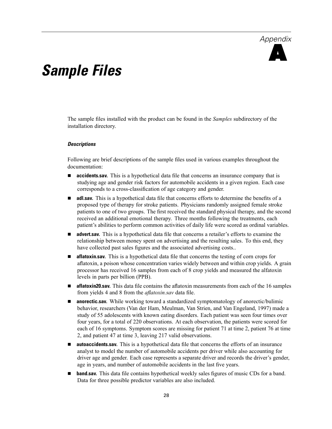## *Appendix* A

## <span id="page-33-0"></span>*Sample Files*

The sample files installed with the product can be found in the *Samples* subdirectory of the installation directory.

#### *Descriptions*

Following are brief descriptions of the sample files used in various examples throughout the documentation:

- **accidents.sav.** This is a hypothetical data file that concerns an insurance company that is studying age and gender risk factors for automobile accidents in a given region. Each case corresponds to a cross-classification of age category and gender.
- **adl.sav.** This is a hypothetical data file that concerns efforts to determine the benefits of a proposed type of therapy for stroke patients. Physicians randomly assigned female stroke patients to one of two groups. The first received the standard physical therapy, and the second received an additional emotional therapy. Three months following the treatments, each patient's abilities to perform common activities of daily life were scored as ordinal variables.
- **advert.sav.** This is a hypothetical data file that concerns a retailer's efforts to examine the relationship between money spent on advertising and the resulting sales. To this end, they have collected past sales figures and the associated advertising costs..
- **aflatoxin.sav.** This is a hypothetical data file that concerns the testing of corn crops for aflatoxin, a poison whose concentration varies widely between and within crop yields. A grain processor has received 16 samples from each of 8 crop yields and measured the alfatoxin levels in parts per billion (PPB).
- **aflatoxin20.sav.** This data file contains the aflatoxin measurements from each of the 16 samples from yields 4 and 8 from the *aflatoxin.sav* data file.
- **anorectic.sav.** While working toward a standardized symptomatology of anorectic/bulimic behavior, researchers (Van der Ham, Meulman, Van Strien, and Van Engeland, 1997) made a study of 55 adolescents with known eating disorders. Each patient was seen four times over four years, for a total of 220 observations. At each observation, the patients were scored for each of 16 symptoms. Symptom scores are missing for patient 71 at time 2, patient 76 at time 2, and patient 47 at time 3, leaving 217 valid observations.
- **autoaccidents.sav.** This is a hypothetical data file that concerns the efforts of an insurance analyst to model the number of automobile accidents per driver while also accounting for driver age and gender. Each case represents a separate driver and records the driver's gender, age in years, and number of automobile accidents in the last five years.
- **band.sav.** This data file contains hypothetical weekly sales figures of music CDs for a band. Data for three possible predictor variables are also included.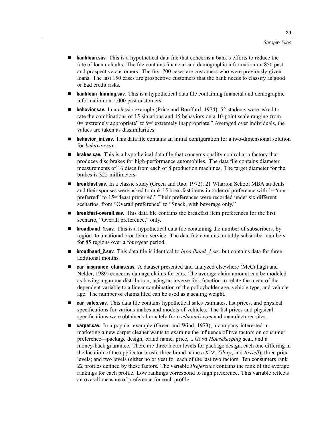- **bankloan.sav.** This is a hypothetical data file that concerns a bank's efforts to reduce the rate of loan defaults. The file contains financial and demographic information on 850 past and prospective customers. The first 700 cases are customers who were previously given loans. The last 150 cases are prospective customers that the bank needs to classify as good or bad credit risks.
- **bankloan binning.sav.** This is a hypothetical data file containing financial and demographic information on 5,000 past customers.
- **behavior.sav.** In a classic example (Price and Bouffard, 1974), 52 students were asked to rate the combinations of 15 situations and 15 behaviors on a 10-point scale ranging from 0="extremely appropriate" to 9="extremely inappropriate." Averaged over individuals, the values are taken as dissimilarities.
- **b behavior** ini.sav. This data file contains an initial configuration for a two-dimensional solution for *behavior.sav*.
- **brakes.sav.** This is a hypothetical data file that concerns quality control at a factory that produces disc brakes for high-performance automobiles. The data file contains diameter measurements of 16 discs from each of 8 production machines. The target diameter for the brakes is 322 millimeters.
- **breakfast.sav.** In a classic study (Green and Rao, 1972), 21 Wharton School MBA students and their spouses were asked to rank  $15$  breakfast items in order of preference with  $1 =$ "most preferred" to 15="least preferred." Their preferences were recorded under six different scenarios, from "Overall preference" to "Snack, with beverage only."
- **bleakfast-overall.sav.** This data file contains the breakfast item preferences for the first scenario, "Overall preference," only.
- **broadband 1.sav.** This is a hypothetical data file containing the number of subscribers, by region, to a national broadband service. The data file contains monthly subscriber numbers for 85 regions over a four-year period.
- **broadband 2.sav.** This data file is identical to *broadband 1.sav* but contains data for three additional months.
- **E** car insurance claims.sav. A dataset presented and analyzed elsewhere (McCullagh and Nelder, 1989) concerns damage claims for cars. The average claim amount can be modeled as having a gamma distribution, using an inverse link function to relate the mean of the dependent variable to a linear combination of the policyholder age, vehicle type, and vehicle age. The number of claims filed can be used as a scaling weight.
- **car sales.sav.** This data file contains hypothetical sales estimates, list prices, and physical specifications for various makes and models of vehicles. The list prices and physical specifications were obtained alternately from *edmunds.com* and manufacturer sites.
- **carpet.sav.** In a popular example (Green and Wind, 1973), a company interested in marketing a new carpet cleaner wants to examine the influence of five factors on consumer preference—package design, brand name, price, a *Good Housekeeping* seal, and a money-back guarantee. There are three factor levels for package design, each one differing in the location of the applicator brush; three brand names (*K2R*, *Glory*, and *Bissell*); three price levels; and two levels (either no or yes) for each of the last two factors. Ten consumers rank 22 profiles defined by these factors. The variable *Preference* contains the rank of the average rankings for each profile. Low rankings correspond to high preference. This variable reflects an overall measure of preference for each profile.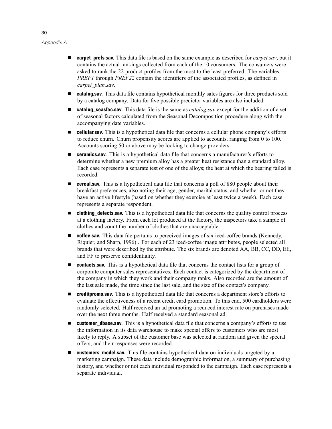#### *Appendix A*

- **carpet prefs.sav.** This data file is based on the same example as described for *carpet.sav*, but it contains the actual rankings collected from each of the 10 consumers. The consumers were asked to rank the 22 product profiles from the most to the least preferred. The variables *PREF1* through *PREF22* contain the identifiers of the associated profiles, as defined in *carpet\_plan.sav*.
- **catalog.sav.** This data file contains hypothetical monthly sales figures for three products sold by a catalog company. Data for five possible predictor variables are also included.
- **catalog\_seasfac.sav.** This data file is the same as *catalog.sav* except for the addition of a set of seasonal factors calculated from the Seasonal Decomposition procedure along with the accompanying date variables.
- **Example 1 cellular.sav.** This is a hypothetical data file that concerns a cellular phone company's efforts to reduce churn. Churn propensity scores are applied to accounts, ranging from 0 to 100. Accounts scoring 50 or above may be looking to change providers.
- **Exercise ceramics.sav.** This is a hypothetical data file that concerns a manufacturer's efforts to determine whether a new premium alloy has a greater heat resistance than a standard alloy. Each case represents a separate test of one of the alloys; the heat at which the bearing failed is recorded.
- **cereal.sav.** This is a hypothetical data file that concerns a poll of 880 people about their breakfast preferences, also noting their age, gender, marital status, and whether or not they have an active lifestyle (based on whether they exercise at least twice a week). Each case represents a separate respondent.
- **clothing defects.sav.** This is a hypothetical data file that concerns the quality control process at a clothing factory. From each lot produced at the factory, the inspectors take a sample of clothes and count the number of clothes that are unacceptable.
- **coffee.sav.** This data file pertains to perceived images of six iced-coffee brands (Kennedy, Riquier, and Sharp, 1996) . For each of 23 iced-coffee image attributes, people selected all brands that were described by the attribute. The six brands are denoted AA, BB, CC, DD, EE, and FF to preserve confidentiality.
- **contacts.sav.** This is a hypothetical data file that concerns the contact lists for a group of corporate computer sales representatives. Each contact is categorized by the department of the company in which they work and their company ranks. Also recorded are the amount of the last sale made, the time since the last sale, and the size of the contact's company.
- **Example 3 creditpromo.sav.** This is a hypothetical data file that concerns a department store's efforts to evaluate the effectiveness of a recent credit card promotion. To this end, 500 cardholders were randomly selected. Half received an ad promoting a reduced interest rate on purchases made over the next three months. Half received a standard seasonal ad.
- **Example 3 customer dbase.sav.** This is a hypothetical data file that concerns a company's efforts to use the information in its data warehouse to make special offers to customers who are most likely to reply. A subset of the customer base was selected at random and given the special offers, and their responses were recorded.
- **Example 1** customers model.sav. This file contains hypothetical data on individuals targeted by a marketing campaign. These data include demographic information, a summary of purchasing history, and whether or not each individual responded to the campaign. Each case represents a separate individual.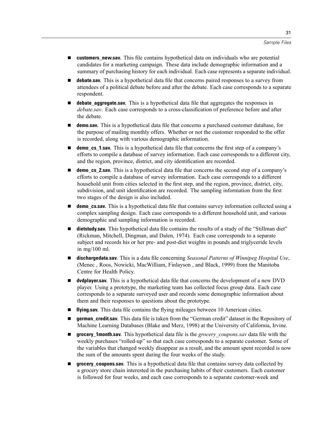- **Example 3 customers new.sav.** This file contains hypothetical data on individuals who are potential candidates for a marketing campaign. These data include demographic information and a summary of purchasing history for each individual. Each case represents a separate individual.
- **debate.sav.** This is a hypothetical data file that concerns paired responses to a survey from attendees of a political debate before and after the debate. Each case corresponds to a separate respondent.
- **debate aggregate.sav.** This is a hypothetical data file that aggregates the responses in *debate.sav*. Each case corresponds to a cross-classification of preference before and after the debate.
- **demo.sav.** This is a hypothetical data file that concerns a purchased customer database, for the purpose of mailing monthly offers. Whether or not the customer responded to the offer is recorded, along with various demographic information.
- **demo\_cs\_1.sav.** This is a hypothetical data file that concerns the first step of a company's efforts to compile a database of survey information. Each case corresponds to a different city, and the region, province, district, and city identification are recorded.
- **demo cs 2.sav.** This is a hypothetical data file that concerns the second step of a company's efforts to compile a database of survey information. Each case corresponds to a different household unit from cities selected in the first step, and the region, province, district, city, subdivision, and unit identification are recorded. The sampling information from the first two stages of the design is also included.
- **demo cs.sav.** This is a hypothetical data file that contains survey information collected using a complex sampling design. Each case corresponds to a different household unit, and various demographic and sampling information is recorded.
- **dietstudy.sav.** This hypothetical data file contains the results of a study of the "Stillman diet" (Rickman, Mitchell, Dingman, and Dalen, 1974). Each case corresponds to a separate subject and records his or her pre- and post-diet weights in pounds and triglyceride levels in mg/100 ml.
- **dischargedata.sav.** This is a data file concerning *Seasonal Patterns of Winnipeg Hospital Use*, (Menec , Roos, Nowicki, MacWilliam, Finlayson , and Black, 1999) from the Manitoba Centre for Health Policy.
- **did dvdplayer.sav.** This is a hypothetical data file that concerns the development of a new DVD player. Using a prototype, the marketing team has collected focus group data. Each case corresponds to a separate surveyed user and records some demographic information about them and their responses to questions about the prototype.
- **flying.sav.** This data file contains the flying mileages between 10 American cities.
- **german credit.sav.** This data file is taken from the "German credit" dataset in the Repository of Machine Learning Databases (Blake and Merz, 1998) at the University of California, Irvine.
- **groups groups argets in the interest of the state is the** *grocery coupons.say* **data file with the** weekly purchases "rolled-up" so that each case corresponds to a separate customer. Some of the variables that changed weekly disappear as a result, and the amount spent recorded is now the sum of the amounts spent during the four weeks of the study.
- **grocery\_coupons.sav.** This is a hypothetical data file that contains survey data collected by a grocery store chain interested in the purchasing habits of their customers. Each customer is followed for four weeks, and each case corresponds to a separate customer-week and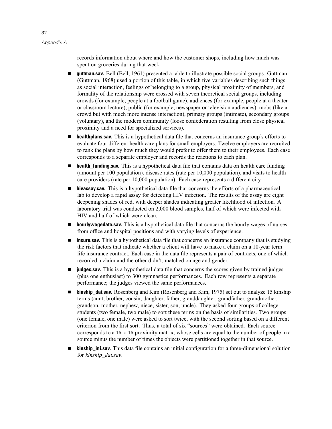*Appendix A*

records information about where and how the customer shops, including how much was spent on groceries during that week.

- **guttman.sav.** Bell (Bell, 1961) presented a table to illustrate possible social groups. Guttman (Guttman, 1968) used a portion of this table, in which five variables describing such things as social interaction, feelings of belonging to a group, physical proximity of members, and formality of the relationship were crossed with seven theoretical social groups, including crowds (for example, people at a football game), audiences (for example, people at a theater or classroom lecture), public (for example, newspaper or television audiences), mobs (like a crowd but with much more intense interaction), primary groups (intimate), secondary groups (voluntary), and the modern community (loose confederation resulting from close physical proximity and a need for specialized services).
- **healthplans.sav.** This is a hypothetical data file that concerns an insurance group's efforts to evaluate four different health care plans for small employers. Twelve employers are recruited to rank the plans by how much they would prefer to offer them to their employees. Each case corresponds to a separate employer and records the reactions to each plan.
- **health funding.sav.** This is a hypothetical data file that contains data on health care funding (amount per 100 population), disease rates (rate per 10,000 population), and visits to health care providers (rate per 10,000 population). Each case represents a different city.
- **hivassay.sav.** This is a hypothetical data file that concerns the efforts of a pharmaceutical lab to develop a rapid assay for detecting HIV infection. The results of the assay are eight deepening shades of red, with deeper shades indicating greater likelihood of infection. A laboratory trial was conducted on 2,000 blood samples, half of which were infected with HIV and half of which were clean.
- **hourlywagedata.sav.** This is a hypothetical data file that concerns the hourly wages of nurses from office and hospital positions and with varying levels of experience.
- $\blacksquare$  insure.sav. This is a hypothetical data file that concerns an insurance company that is studying the risk factors that indicate whether a client will have to make a claim on a 10-year term life insurance contract. Each case in the data file represents a pair of contracts, one of which recorded a claim and the other didn't, matched on age and gender.
- $\blacksquare$  **judges.sav.** This is a hypothetical data file that concerns the scores given by trained judges (plus one enthusiast) to 300 gymnastics performances. Each row represents a separate performance; the judges viewed the same performances.
- **kinship\_dat.sav.** Rosenberg and Kim (Rosenberg and Kim, 1975) set out to analyze 15 kinship terms (aunt, brother, cousin, daughter, father, granddaughter, grandfather, grandmother, grandson, mother, nephew, niece, sister, son, uncle). They asked four groups of college students (two female, two male) to sort these terms on the basis of similarities. Two groups (one female, one male) were asked to sort twice, with the second sorting based on a different criterion from the first sort. Thus, a total of six "sources" were obtained. Each source corresponds to a  $15 \times 15$  proximity matrix, whose cells are equal to the number of people in a source minus the number of times the objects were partitioned together in that source.
- **kinship\_ini.sav.** This data file contains an initial configuration for a three-dimensional solution for *kinship\_dat.sav*.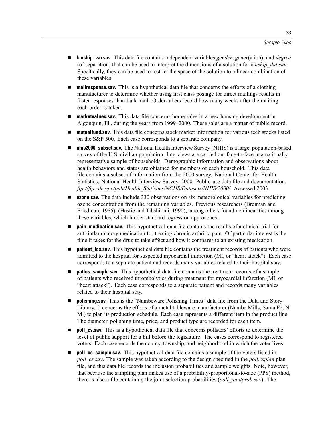- **kinship\_var.sav.** This data file contains independent variables *gender*, *gener*(ation), and *degree* (of separation) that can be used to interpret the dimensions of a solution for *kinship\_dat.sav*. Specifically, they can be used to restrict the space of the solution to a linear combination of these variables.
- **mailresponse.sav.** This is a hypothetical data file that concerns the efforts of a clothing manufacturer to determine whether using first class postage for direct mailings results in faster responses than bulk mail. Order-takers record how many weeks after the mailing each order is taken.
- **marketvalues.sav.** This data file concerns home sales in a new housing development in Algonquin, Ill., during the years from 1999–2000. These sales are a matter of public record.
- **mutualfund.sav.** This data file concerns stock market information for various tech stocks listed on the S&P 500. Each case corresponds to a separate company.
- **nhis2000\_subset.sav.** The National Health Interview Survey (NHIS) is a large, population-based survey of the U.S. civilian population. Interviews are carried out face-to-face in a nationally representative sample of households. Demographic information and observations about health behaviors and status are obtained for members of each household. This data file contains a subset of information from the 2000 survey. National Center for Health Statistics. National Health Interview Survey, 2000. Public-use data file and documentation. *ftp://ftp.cdc.gov/pub/Health\_Statistics/NCHS/Datasets/NHIS/2000/*. Accessed 2003.
- **ozone.sav.** The data include 330 observations on six meteorological variables for predicting ozone concentration from the remaining variables. Previous researchers (Breiman and Friedman, 1985), (Hastie and Tibshirani, 1990), among others found nonlinearities among these variables, which hinder standard regression approaches.
- **pain\_medication.sav.** This hypothetical data file contains the results of a clinical trial for anti-inflammatory medication for treating chronic arthritic pain. Of particular interest is the time it takes for the drug to take effect and how it compares to an existing medication.
- **P** patient los.sav. This hypothetical data file contains the treatment records of patients who were admitted to the hospital for suspected myocardial infarction (MI, or "heart attack"). Each case corresponds to a separate patient and records many variables related to their hospital stay.
- **Patlos sample.sav.** This hypothetical data file contains the treatment records of a sample of patients who received thrombolytics during treatment for myocardial infarction (MI, or "heart attack"). Each case corresponds to a separate patient and records many variables related to their hospital stay.
- **Polishing.sav.** This is the "Nambeware Polishing Times" data file from the Data and Story Library. It concerns the efforts of a metal tableware manufacturer (Nambe Mills, Santa Fe, N. M.) to plan its production schedule. Each case represents a different item in the product line. The diameter, polishing time, price, and product type are recorded for each item.
- **poll cs.sav.** This is a hypothetical data file that concerns pollsters' efforts to determine the level of public support for a bill before the legislature. The cases correspond to registered voters. Each case records the county, township, and neighborhood in which the voter lives.
- **Poll cs sample.sav.** This hypothetical data file contains a sample of the voters listed in *poll\_cs.sav*. The sample was taken according to the design specified in the *poll.csplan* plan file, and this data file records the inclusion probabilities and sample weights. Note, however, that because the sampling plan makes use of a probability-proportional-to-size (PPS) method, there is also a file containing the joint selection probabilities (*poll\_jointprob.sav*). The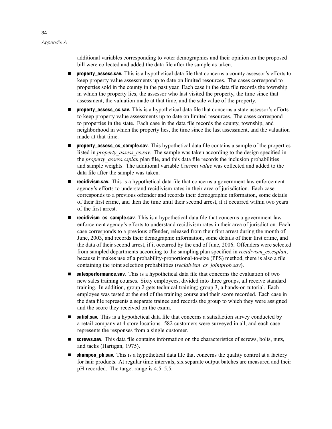*Appendix A*

additional variables corresponding to voter demographics and their opinion on the proposed bill were collected and added the data file after the sample as taken.

- **Property assess.sav.** This is a hypothetical data file that concerns a county assessor's efforts to keep property value assessments up to date on limited resources. The cases correspond to properties sold in the county in the past year. Each case in the data file records the township in which the property lies, the assessor who last visited the property, the time since that assessment, the valuation made at that time, and the sale value of the property.
- **property\_assess\_cs.sav.** This is a hypothetical data file that concerns a state assessor's efforts to keep property value assessments up to date on limited resources. The cases correspond to properties in the state. Each case in the data file records the county, township, and neighborhood in which the property lies, the time since the last assessment, and the valuation made at that time.
- **Property assess cs sample.sav.** This hypothetical data file contains a sample of the properties listed in *property* assess cs.sav. The sample was taken according to the design specified in the *property* assess.csplan plan file, and this data file records the inclusion probabilities and sample weights. The additional variable *Current value* was collected and added to the data file after the sample was taken.
- **recidivism.sav.** This is a hypothetical data file that concerns a government law enforcement agency's efforts to understand recidivism rates in their area of jurisdiction. Each case corresponds to a previous offender and records their demographic information, some details of their first crime, and then the time until their second arrest, if it occurred within two years of the first arrest.
- **recidivism\_cs\_sample.sav.** This is a hypothetical data file that concerns a government law enforcement agency's efforts to understand recidivism rates in their area of jurisdiction. Each case corresponds to a previous offender, released from their first arrest during the month of June, 2003, and records their demographic information, some details of their first crime, and the data of their second arrest, if it occurred by the end of June, 2006. Offenders were selected from sampled departments according to the sampling plan specified in *recidivism\_cs.csplan*; because it makes use of a probability-proportional-to-size (PPS) method, there is also a file containing the joint selection probabilities (*recidivism\_cs\_jointprob.sav*).
- **salesperformance.sav.** This is a hypothetical data file that concerns the evaluation of two new sales training courses. Sixty employees, divided into three groups, all receive standard training. In addition, group 2 gets technical training; group 3, a hands-on tutorial. Each employee was tested at the end of the training course and their score recorded. Each case in the data file represents a separate trainee and records the group to which they were assigned and the score they received on the exam.
- **satisf.sav.** This is a hypothetical data file that concerns a satisfaction survey conducted by a retail company at 4 store locations. 582 customers were surveyed in all, and each case represents the responses from a single customer.
- **screws.sav.** This data file contains information on the characteristics of screws, bolts, nuts, and tacks (Hartigan, 1975).
- **shampoo\_ph.sav.** This is a hypothetical data file that concerns the quality control at a factory for hair products. At regular time intervals, six separate output batches are measured and their pH recorded. The target range is 4.5–5.5.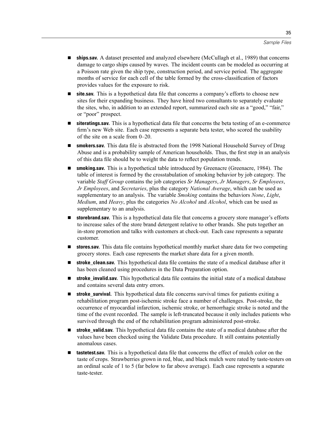- **ships.sav.** A dataset presented and analyzed elsewhere (McCullagh et al., 1989) that concerns damage to cargo ships caused by waves. The incident counts can be modeled as occurring at a Poisson rate given the ship type, construction period, and service period. The aggregate months of service for each cell of the table formed by the cross-classification of factors provides values for the exposure to risk.
- **site.sav.** This is a hypothetical data file that concerns a company's efforts to choose new sites for their expanding business. They have hired two consultants to separately evaluate the sites, who, in addition to an extended report, summarized each site as a "good," "fair," or "poor" prospect.
- **siteratings.sav.** This is a hypothetical data file that concerns the beta testing of an e-commerce firm's new Web site. Each case represents a separate beta tester, who scored the usability of the site on a scale from 0–20.
- **smokers.sav.** This data file is abstracted from the 1998 National Household Survey of Drug Abuse and is a probability sample of American households. Thus, the first step in an analysis of this data file should be to weight the data to reflect population trends.
- **smoking.sav.** This is a hypothetical table introduced by Greenacre (Greenacre, 1984). The table of interest is formed by the crosstabulation of smoking behavior by job category. The variable *Staff Group* contains the job categories *Sr Managers*, *Jr Managers*, *Sr Employees*, *Jr Employees*, and *Secretaries*, plus the category *National Average*, which can be used as supplementary to an analysis. The variable *Smoking* contains the behaviors *None*, *Light*, *Medium*, and *Heavy*, plus the categories *No Alcohol* and *Alcohol*, which can be used as supplementary to an analysis.
- **storebrand.sav.** This is a hypothetical data file that concerns a grocery store manager's efforts to increase sales of the store brand detergent relative to other brands. She puts together an in-store promotion and talks with customers at check-out. Each case represents a separate customer.
- **stores.sav.** This data file contains hypothetical monthly market share data for two competing grocery stores. Each case represents the market share data for a given month.
- **stroke clean.sav.** This hypothetical data file contains the state of a medical database after it has been cleaned using procedures in the Data Preparation option.
- **stroke invalid.sav.** This hypothetical data file contains the initial state of a medical database and contains several data entry errors.
- **stroke survival.** This hypothetical data file concerns survival times for patients exiting a rehabilitation program post-ischemic stroke face a number of challenges. Post-stroke, the occurrence of myocardial infarction, ischemic stroke, or hemorrhagic stroke is noted and the time of the event recorded. The sample is left-truncated because it only includes patients who survived through the end of the rehabilitation program administered post-stroke.
- **stroke valid.sav.** This hypothetical data file contains the state of a medical database after the values have been checked using the Validate Data procedure. It still contains potentially anomalous cases.
- **tastetest.sav.** This is a hypothetical data file that concerns the effect of mulch color on the taste of crops. Strawberries grown in red, blue, and black mulch were rated by taste-testers on an ordinal scale of 1 to 5 (far below to far above average). Each case represents a separate taste-tester.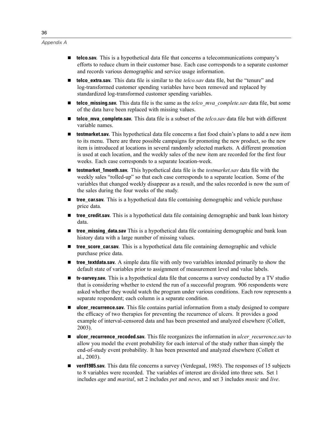- **telco.sav.** This is a hypothetical data file that concerns a telecommunications company's efforts to reduce churn in their customer base. Each case corresponds to a separate customer and records various demographic and service usage information.
- **telco\_extra.sav.** This data file is similar to the *telco.sav* data file, but the "tenure" and log-transformed customer spending variables have been removed and replaced by standardized log-transformed customer spending variables.
- **telco\_missing.sav.** This data file is the same as the *telco\_mva\_complete.sav* data file, but some of the data have been replaced with missing values.
- **telco mva complete.sav.** This data file is a subset of the *telco.sav* data file but with different variable names.
- **testmarket.sav.** This hypothetical data file concerns a fast food chain's plans to add a new item to its menu. There are three possible campaigns for promoting the new product, so the new item is introduced at locations in several randomly selected markets. A different promotion is used at each location, and the weekly sales of the new item are recorded for the first four weeks. Each case corresponds to a separate location-week.
- **testmarket 1month.sav.** This hypothetical data file is the *testmarket.sav* data file with the weekly sales "rolled-up" so that each case corresponds to a separate location. Some of the variables that changed weekly disappear as a result, and the sales recorded is now the sum of the sales during the four weeks of the study.
- **tree\_car.sav.** This is a hypothetical data file containing demographic and vehicle purchase price data.
- **tree credit.sav.** This is a hypothetical data file containing demographic and bank loan history data.
- **tree missing data.sav** This is a hypothetical data file containing demographic and bank loan history data with a large number of missing values.
- **tree\_score\_car.sav.** This is a hypothetical data file containing demographic and vehicle purchase price data.
- **tree\_textdata.sav.** A simple data file with only two variables intended primarily to show the default state of variables prior to assignment of measurement level and value labels.
- **tv-survey.sav.** This is a hypothetical data file that concerns a survey conducted by a TV studio that is considering whether to extend the run of a successful program. 906 respondents were asked whether they would watch the program under various conditions. Each row represents a separate respondent; each column is a separate condition.
- **ulcer recurrence.sav.** This file contains partial information from a study designed to compare the efficacy of two therapies for preventing the recurrence of ulcers. It provides a good example of interval-censored data and has been presented and analyzed elsewhere (Collett, 2003).
- **ulcer\_recurrence\_recoded.sav.** This file reorganizes the information in *ulcer\_recurrence.sav* to allow you model the event probability for each interval of the study rather than simply the end-of-study event probability. It has been presented and analyzed elsewhere (Collett et al., 2003).
- **verd1985.sav.** This data file concerns a survey (Verdegaal, 1985). The responses of 15 subjects to 8 variables were recorded. The variables of interest are divided into three sets. Set 1 includes *age* and *marital*, set 2 includes *pet* and *news*, and set 3 includes *music* and *live*.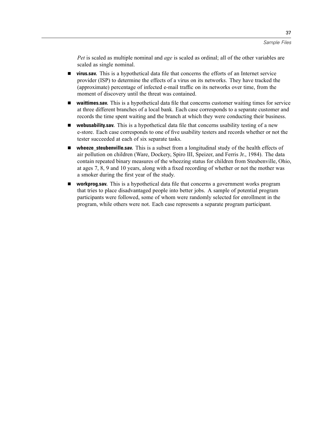*Pet* is scaled as multiple nominal and *age* is scaled as ordinal; all of the other variables are scaled as single nominal.

- **virus.sav.** This is a hypothetical data file that concerns the efforts of an Internet service provider (ISP) to determine the effects of a virus on its networks. They have tracked the (approximate) percentage of infected e-mail traffic on its networks over time, from the moment of discovery until the threat was contained.
- **waittimes.sav.** This is a hypothetical data file that concerns customer waiting times for service at three different branches of a local bank. Each case corresponds to a separate customer and records the time spent waiting and the branch at which they were conducting their business.
- **webusability.sav.** This is a hypothetical data file that concerns usability testing of a new e-store. Each case corresponds to one of five usability testers and records whether or not the tester succeeded at each of six separate tasks.
- **wheeze\_steubenville.sav.** This is a subset from a longitudinal study of the health effects of air pollution on children (Ware, Dockery, Spiro III, Speizer, and Ferris Jr., 1984). The data contain repeated binary measures of the wheezing status for children from Steubenville, Ohio, at ages 7, 8, 9 and 10 years, along with a fixed recording of whether or not the mother was a smoker during the first year of the study.
- **workprog.sav.** This is a hypothetical data file that concerns a government works program that tries to place disadvantaged people into better jobs. A sample of potential program participants were followed, some of whom were randomly selected for enrollment in the program, while others were not. Each case represents a separate program participant.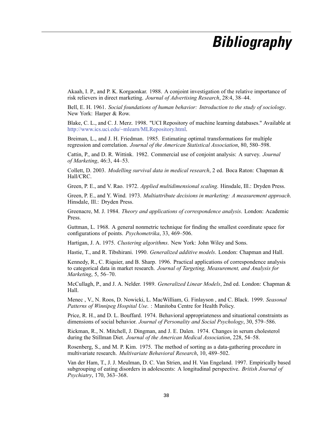## *Bibliography*

<span id="page-43-0"></span>Akaah, I. P., and P. K. Korgaonkar. 1988. A conjoint investigation of the relative importance of risk relievers in direct marketing. *Journal of Advertising Research*, 28:4, 38–44.

Bell, E. H. 1961. *Social foundations of human behavior: Introduction to the study of sociology*. New York: Harper & Row.

Blake, C. L., and C. J. Merz. 1998. "UCI Repository of machine learning databases." Available at [http://www.ics.uci.edu/~mlearn/MLRepository.html.](http://www.ics.uci.edu/%7Emlearn/MLRepository.html)

Breiman, L., and J. H. Friedman. 1985. Estimating optimal transformations for multiple regression and correlation. *Journal of the American Statistical Association*, 80, 580–598.

Cattin, P., and D. R. Wittink. 1982. Commercial use of conjoint analysis: A survey. *Journal of Marketing*, 46:3, 44–53.

Collett, D. 2003. *Modelling survival data in medical research*, 2 ed. Boca Raton: Chapman & Hall/CRC.

Green, P. E., and V. Rao. 1972. *Applied multidimensional scaling*. Hinsdale, Ill.: Dryden Press.

Green, P. E., and Y. Wind. 1973. *Multiattribute decisions in marketing: A measurement approach*. Hinsdale, Ill.: Dryden Press.

Greenacre, M. J. 1984. *Theory and applications of correspondence analysis*. London: Academic Press.

Guttman, L. 1968. A general nonmetric technique for finding the smallest coordinate space for configurations of points. *Psychometrika*, 33, 469–506.

Hartigan, J. A. 1975. *Clustering algorithms*. New York: John Wiley and Sons.

Hastie, T., and R. Tibshirani. 1990. *Generalized additive models*. London: Chapman and Hall.

Kennedy, R., C. Riquier, and B. Sharp. 1996. Practical applications of correspondence analysis to categorical data in market research. *Journal of Targeting, Measurement, and Analysis for Marketing*, 5, 56–70.

McCullagh, P., and J. A. Nelder. 1989. *Generalized Linear Models*, 2nd ed. London: Chapman & Hall.

Menec , V., N. Roos, D. Nowicki, L. MacWilliam, G. Finlayson , and C. Black. 1999. *Seasonal Patterns of Winnipeg Hospital Use*. : Manitoba Centre for Health Policy.

Price, R. H., and D. L. Bouffard. 1974. Behavioral appropriateness and situational constraints as dimensions of social behavior. *Journal of Personality and Social Psychology*, 30, 579–586.

Rickman, R., N. Mitchell, J. Dingman, and J. E. Dalen. 1974. Changes in serum cholesterol during the Stillman Diet. *Journal of the American Medical Association*, 228, 54–58.

Rosenberg, S., and M. P. Kim. 1975. The method of sorting as a data-gathering procedure in multivariate research. *Multivariate Behavioral Research*, 10, 489–502.

Van der Ham, T., J. J. Meulman, D. C. Van Strien, and H. Van Engeland. 1997. Empirically based subgrouping of eating disorders in adolescents: A longitudinal perspective. *British Journal of Psychiatry*, 170, 363–368.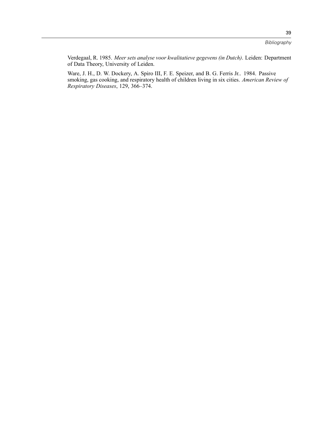*Bibliography*

Verdegaal, R. 1985. *Meer sets analyse voor kwalitatieve gegevens (in Dutch)*. Leiden: Department of Data Theory, University of Leiden.

Ware, J. H., D. W. Dockery, A. Spiro III, F. E. Speizer, and B. G. Ferris Jr.. 1984. Passive smoking, gas cooking, and respiratory health of children living in six cities. *American Review of Respiratory Diseases*, 129, 366–374.